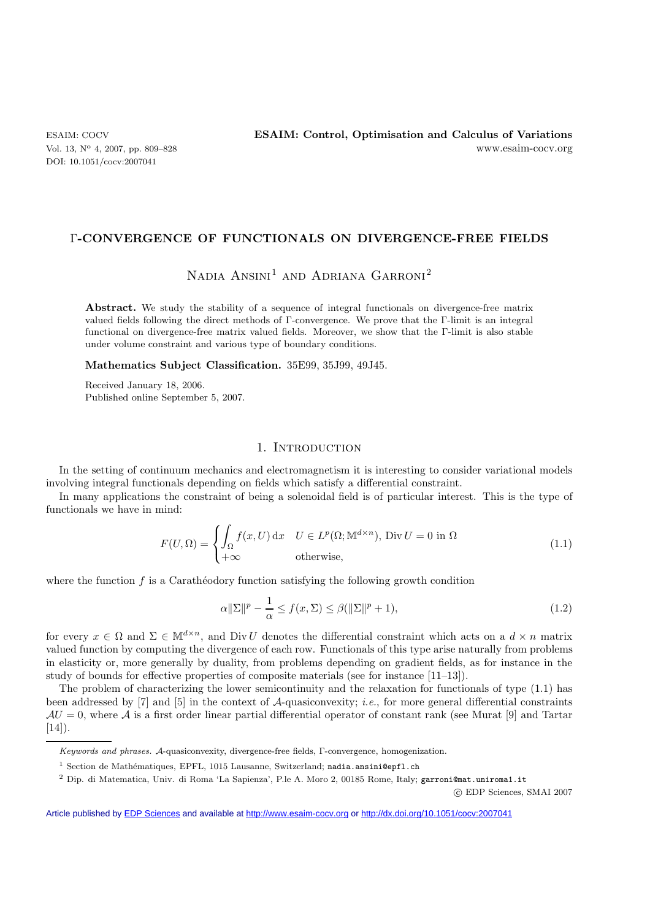DOI: 10.1051/cocv:2007041

### Γ**-CONVERGENCE OF FUNCTIONALS ON DIVERGENCE-FREE FIELDS**

# NADIA  $ANSINI<sup>1</sup>$  and Adriana Garroni<sup>2</sup>

Abstract. We study the stability of a sequence of integral functionals on divergence-free matrix valued fields following the direct methods of Γ-convergence. We prove that the Γ-limit is an integral functional on divergence-free matrix valued fields. Moreover, we show that the Γ-limit is also stable under volume constraint and various type of boundary conditions.

**Mathematics Subject Classification.** 35E99, 35J99, 49J45.

Received January 18, 2006. Published online September 5, 2007.

# 1. INTRODUCTION

In the setting of continuum mechanics and electromagnetism it is interesting to consider variational models involving integral functionals depending on fields which satisfy a differential constraint.

In many applications the constraint of being a solenoidal field is of particular interest. This is the type of functionals we have in mind:

$$
F(U,\Omega) = \begin{cases} \int_{\Omega} f(x,U) dx & U \in L^{p}(\Omega; \mathbb{M}^{d \times n}), \text{ Div } U = 0 \text{ in } \Omega\\ +\infty & \text{otherwise,} \end{cases}
$$
(1.1)

where the function  $f$  is a Caratheodory function satisfying the following growth condition

$$
\alpha \|\Sigma\|^p - \frac{1}{\alpha} \le f(x, \Sigma) \le \beta (\|\Sigma\|^p + 1),\tag{1.2}
$$

for every  $x \in \Omega$  and  $\Sigma \in M^{d \times n}$ , and Div U denotes the differential constraint which acts on a  $d \times n$  matrix valued function by computing the divergence of each row. Functionals of this type arise naturally from problems in elasticity or, more generally by duality, from problems depending on gradient fields, as for instance in the study of bounds for effective properties of composite materials (see for instance [11–13]).

The problem of characterizing the lower semicontinuity and the relaxation for functionals of type (1.1) has been addressed by [7] and [5] in the context of A-quasiconvexity; *i.e.*, for more general differential constraints  $AU = 0$ , where A is a first order linear partial differential operator of constant rank (see Murat [9] and Tartar  $[14]$ .

c EDP Sciences, SMAI 2007

Article published by [EDP Sciences](http://www.edpsciences.org) and available at<http://www.esaim-cocv.org> or <http://dx.doi.org/10.1051/cocv:2007041>

*Keywords and phrases.* A-quasiconvexity, divergence-free fields, Γ-convergence, homogenization.

 $1$  Section de Mathématiques, EPFL, 1015 Lausanne, Switzerland; nadia.ansini@epfl.ch

<sup>2</sup> Dip. di Matematica, Univ. di Roma 'La Sapienza', P.le A. Moro 2, 00185 Rome, Italy; garroni@mat.uniroma1.it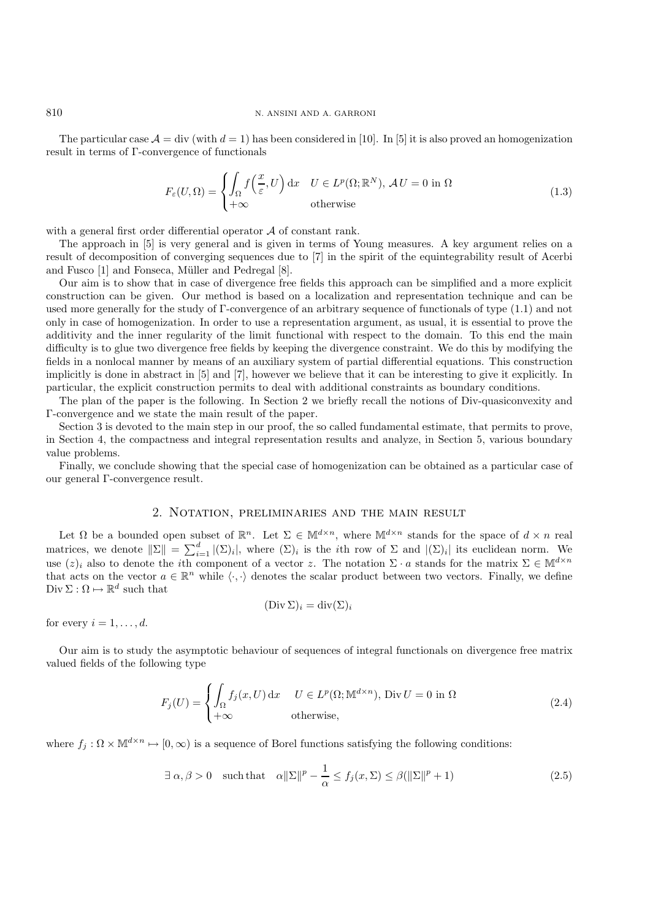The particular case  $A = \text{div}$  (with  $d = 1$ ) has been considered in [10]. In [5] it is also proved an homogenization result in terms of Γ-convergence of functionals

$$
F_{\varepsilon}(U,\Omega) = \begin{cases} \int_{\Omega} f\left(\frac{x}{\varepsilon},U\right) dx & U \in L^{p}(\Omega; \mathbb{R}^{N}), \mathcal{A}U = 0 \text{ in } \Omega\\ +\infty & \text{otherwise} \end{cases}
$$
(1.3)

with a general first order differential operator  $A$  of constant rank.

The approach in [5] is very general and is given in terms of Young measures. A key argument relies on a result of decomposition of converging sequences due to [7] in the spirit of the equintegrability result of Acerbi and Fusco [1] and Fonseca, Müller and Pedregal [8].

Our aim is to show that in case of divergence free fields this approach can be simplified and a more explicit construction can be given. Our method is based on a localization and representation technique and can be used more generally for the study of Γ-convergence of an arbitrary sequence of functionals of type (1.1) and not only in case of homogenization. In order to use a representation argument, as usual, it is essential to prove the additivity and the inner regularity of the limit functional with respect to the domain. To this end the main difficulty is to glue two divergence free fields by keeping the divergence constraint. We do this by modifying the fields in a nonlocal manner by means of an auxiliary system of partial differential equations. This construction implicitly is done in abstract in [5] and [7], however we believe that it can be interesting to give it explicitly. In particular, the explicit construction permits to deal with additional constraints as boundary conditions.

The plan of the paper is the following. In Section 2 we briefly recall the notions of Div-quasiconvexity and Γ-convergence and we state the main result of the paper.

Section 3 is devoted to the main step in our proof, the so called fundamental estimate, that permits to prove, in Section 4, the compactness and integral representation results and analyze, in Section 5, various boundary value problems.

Finally, we conclude showing that the special case of homogenization can be obtained as a particular case of our general Γ-convergence result.

# 2. Notation, preliminaries and the main result

Let  $\Omega$  be a bounded open subset of  $\mathbb{R}^n$ . Let  $\Sigma \in \mathbb{M}^{d \times n}$ , where  $\mathbb{M}^{d \times n}$  stands for the space of  $d \times n$  real matrices, we denote  $\|\Sigma\| = \sum_{i=1}^d |(\Sigma)_i|$ , where  $(\Sigma)_i$  is the *i*th row of  $\Sigma$  and  $|(\Sigma)_i|$  its euclidean norm. We use  $(z)_i$  also to denote the *i*th component of a vector z. The notation  $\Sigma \cdot a$  stands for the matrix  $\Sigma \in \mathbb{M}^{d \times n}$ that acts on the vector  $a \in \mathbb{R}^n$  while  $\langle \cdot, \cdot \rangle$  denotes the scalar product between two vectors. Finally, we define  $\mathrm{Div}\, \Sigma : \Omega \mapsto \mathbb{R}^d$  such that

$$
(\text{Div }\Sigma)_i = \text{div}(\Sigma)_i
$$

for every  $i = 1, \ldots, d$ .

Our aim is to study the asymptotic behaviour of sequences of integral functionals on divergence free matrix valued fields of the following type

$$
F_j(U) = \begin{cases} \int_{\Omega} f_j(x, U) dx & U \in L^p(\Omega; \mathbb{M}^{d \times n}), \text{ Div } U = 0 \text{ in } \Omega\\ +\infty & \text{otherwise,} \end{cases}
$$
(2.4)

where  $f_i : \Omega \times \mathbb{M}^{d \times n} \mapsto [0, \infty)$  is a sequence of Borel functions satisfying the following conditions:

$$
\exists \alpha, \beta > 0 \quad \text{such that} \quad \alpha \|\Sigma\|^p - \frac{1}{\alpha} \le f_j(x, \Sigma) \le \beta (\|\Sigma\|^p + 1) \tag{2.5}
$$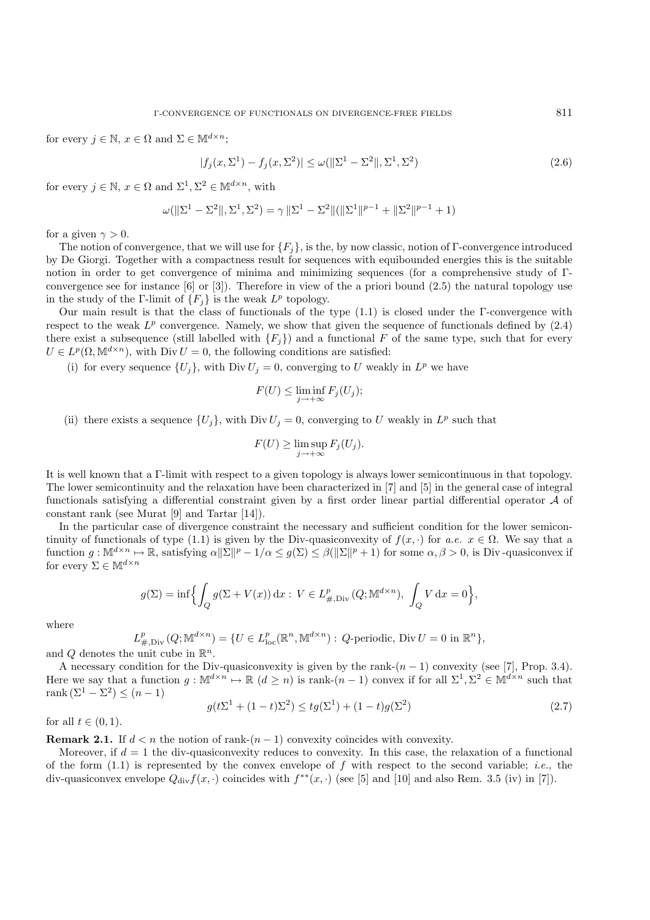for every  $j \in \mathbb{N}$ ,  $x \in \Omega$  and  $\Sigma \in \mathbb{M}^{d \times n}$ ;

$$
|f_j(x, \Sigma^1) - f_j(x, \Sigma^2)| \le \omega(||\Sigma^1 - \Sigma^2||, \Sigma^1, \Sigma^2)
$$
\n(2.6)

for every  $j \in \mathbb{N}$ ,  $x \in \Omega$  and  $\Sigma^1$ ,  $\Sigma^2 \in \mathbb{M}^{d \times n}$ , with

$$
\omega(||\Sigma^1 - \Sigma^2||, \Sigma^1, \Sigma^2) = \gamma ||\Sigma^1 - \Sigma^2||(||\Sigma^1||^{p-1} + ||\Sigma^2||^{p-1} + 1)
$$

for a given  $\gamma > 0$ .

The notion of convergence, that we will use for  ${F_i}$ , is the, by now classic, notion of Γ-convergence introduced by De Giorgi. Together with a compactness result for sequences with equibounded energies this is the suitable notion in order to get convergence of minima and minimizing sequences (for a comprehensive study of Γconvergence see for instance  $[6]$  or  $[3]$ ). Therefore in view of the a priori bound  $(2.5)$  the natural topology use in the study of the Γ-limit of  ${F_i}$  is the weak  $L^p$  topology.

Our main result is that the class of functionals of the type (1.1) is closed under the Γ-convergence with respect to the weak  $L^p$  convergence. Namely, we show that given the sequence of functionals defined by  $(2.4)$ there exist a subsequence (still labelled with  ${F_i}$ ) and a functional F of the same type, such that for every  $U\in L^p(\Omega,\mathbb{M}^{d\times n}),$  with  $\mathrm{Div}\, U=0,$  the following conditions are satisfied:

(i) for every sequence  $\{U_j\}$ , with Div  $U_j = 0$ , converging to U weakly in  $L^p$  we have

$$
F(U) \le \liminf_{j \to +\infty} F_j(U_j);
$$

(ii) there exists a sequence  $\{U_j\}$ , with Div  $U_j = 0$ , converging to U weakly in  $L^p$  such that

$$
F(U) \ge \limsup_{j \to +\infty} F_j(U_j).
$$

It is well known that a Γ-limit with respect to a given topology is always lower semicontinuous in that topology. The lower semicontinuity and the relaxation have been characterized in [7] and [5] in the general case of integral functionals satisfying a differential constraint given by a first order linear partial differential operator A of constant rank (see Murat [9] and Tartar [14]).

In the particular case of divergence constraint the necessary and sufficient condition for the lower semicontinuity of functionals of type (1.1) is given by the Div-quasiconvexity of  $f(x, \cdot)$  for  $a.e.$   $x \in \Omega$ . We say that a function  $g: \mathbb{M}^{d \times n} \to \mathbb{R}$ , satisfying  $\alpha \|\Sigma\|^p - 1/\alpha \leq g(\Sigma) \leq \beta(\|\Sigma\|^p + 1)$  for some  $\alpha, \beta > 0$ , is Div-quasiconvex if for every  $\Sigma \in \mathbb{M}^{d \times n}$ 

$$
g(\Sigma) = \inf \Biggl\{ \int_Q g(\Sigma + V(x)) \, \mathrm{d}x : V \in L^p_{\#, \mathrm{Div}}(Q; \mathbb{M}^{d \times n}), \, \int_Q V \, \mathrm{d}x = 0 \Biggr\},\
$$

where

$$
L^p_{\#, {\rm Div\,}}(Q;{\mathbb M}^{d\times n})=\{U\in L^p_{\rm loc}({\mathbb R}^n, {\mathbb M}^{d\times n}): \, Q\hbox{-periodic, Div\,} U=0\hbox{ in }{\mathbb R}^n\},
$$

and O denotes the unit cube in  $\mathbb{R}^n$ .

A necessary condition for the Div-quasiconvexity is given by the rank- $(n - 1)$  convexity (see [7], Prop. 3.4). Here we say that a function  $q : \mathbb{M}^{d \times n} \to \mathbb{R}$   $(d > n)$  is rank- $(n - 1)$  convex if for all  $\Sigma^1, \Sigma^2 \in \mathbb{M}^{d \times n}$  such that rank  $(\Sigma^1 - \Sigma^2) \leq (n-1)$ 

$$
g(t\Sigma^{1} + (1-t)\Sigma^{2}) \le tg(\Sigma^{1}) + (1-t)g(\Sigma^{2})
$$
\n(2.7)

for all  $t \in (0,1)$ .

**Remark 2.1.** If  $d < n$  the notion of rank- $(n - 1)$  convexity coincides with convexity.

Moreover, if  $d = 1$  the div-quasiconvexity reduces to convexity. In this case, the relaxation of a functional of the form (1.1) is represented by the convex envelope of f with respect to the second variable; *i.e.*, the div-quasiconvex envelope  $Q_{div}f(x, \cdot)$  coincides with  $f^{**}(x, \cdot)$  (see [5] and [10] and also Rem. 3.5 (iv) in [7]).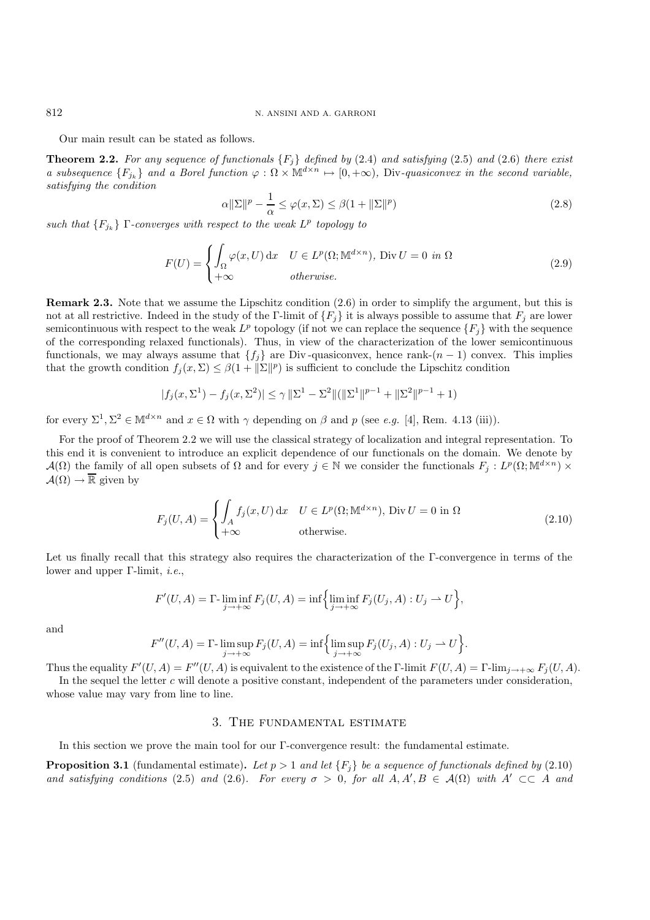Our main result can be stated as follows.

**Theorem 2.2.** *For any sequence of functionals* {Fj} *defined by* (2.4) *and satisfying* (2.5) *and* (2.6) *there exist a subsequence*  ${F_{j_k}}$  *and a Borel function*  $\varphi : \Omega \times M^{d \times n} \mapsto [0, +\infty)$ , Div-quasiconvex in the second variable, *satisfying the condition*

$$
\alpha \|\Sigma\|^p - \frac{1}{\alpha} \le \varphi(x, \Sigma) \le \beta(1 + \|\Sigma\|^p)
$$
\n(2.8)

*such that*  ${F_{j_k}}$  Γ*-converges with respect to the weak*  $L^p$  *topology to* 

$$
F(U) = \begin{cases} \int_{\Omega} \varphi(x, U) dx & U \in L^{p}(\Omega; \mathbb{M}^{d \times n}), \text{ Div } U = 0 & \text{in } \Omega\\ +\infty & \text{otherwise.} \end{cases}
$$
(2.9)

**Remark 2.3.** Note that we assume the Lipschitz condition  $(2.6)$  in order to simplify the argument, but this is not at all restrictive. Indeed in the study of the Γ-limit of  $\{F_i\}$  it is always possible to assume that  $F_j$  are lower semicontinuous with respect to the weak  $L^p$  topology (if not we can replace the sequence  $\{F_j\}$  with the sequence of the corresponding relaxed functionals). Thus, in view of the characterization of the lower semicontinuous functionals, we may always assume that  $\{f_i\}$  are Div-quasiconvex, hence rank- $(n-1)$  convex. This implies that the growth condition  $f_j(x, \Sigma) \leq \beta(1 + ||\Sigma||^p)$  is sufficient to conclude the Lipschitz condition

$$
|f_j(x, \Sigma^1) - f_j(x, \Sigma^2)| \le \gamma \|\Sigma^1 - \Sigma^2\| (\|\Sigma^1\|^{p-1} + \|\Sigma^2\|^{p-1} + 1)
$$

for every  $\Sigma^1$ ,  $\Sigma^2 \in M^{d \times n}$  and  $x \in \Omega$  with  $\gamma$  depending on  $\beta$  and  $p$  (see *e.g.* [4], Rem. 4.13 (iii)).

For the proof of Theorem 2.2 we will use the classical strategy of localization and integral representation. To this end it is convenient to introduce an explicit dependence of our functionals on the domain. We denote by  $\mathcal{A}(\Omega)$  the family of all open subsets of  $\Omega$  and for every  $j \in \mathbb{N}$  we consider the functionals  $F_j : L^p(\Omega; \mathbb{M}^{d \times n}) \times$  $\mathcal{A}(\Omega) \to \overline{\mathbb{R}}$  given by

$$
F_j(U, A) = \begin{cases} \int_A f_j(x, U) dx & U \in L^p(\Omega; \mathbb{M}^{d \times n}), \text{ Div } U = 0 \text{ in } \Omega\\ +\infty & \text{otherwise.} \end{cases}
$$
(2.10)

Let us finally recall that this strategy also requires the characterization of the Γ-convergence in terms of the lower and upper Γ-limit, *i.e.*,

$$
F'(U, A) = \Gamma \cdot \liminf_{j \to +\infty} F_j(U, A) = \inf \Big\{ \liminf_{j \to +\infty} F_j(U_j, A) : U_j \to U \Big\},\
$$

and

$$
F''(U, A) = \Gamma \text{-} \limsup_{j \to +\infty} F_j(U, A) = \inf \Big\{ \limsup_{j \to +\infty} F_j(U_j, A) : U_j \to U \Big\}.
$$

Thus the equality  $F'(U, A) = F''(U, A)$  is equivalent to the existence of the Γ-limit  $F(U, A) = \Gamma$ -lim<sub>j→+∞</sub>  $F_j(U, A)$ .

In the sequel the letter c will denote a positive constant, independent of the parameters under consideration, whose value may vary from line to line.

# 3. The fundamental estimate

In this section we prove the main tool for our Γ-convergence result: the fundamental estimate.

**Proposition 3.1** (fundamental estimate). Let  $p > 1$  and let  $\{F_i\}$  be a sequence of functionals defined by (2.10) *and satisfying conditions* (2.5) *and* (2.6)*. For every*  $\sigma > 0$ , for all  $A, A', B \in A(\Omega)$  with  $A' \subset\subset A$  *and*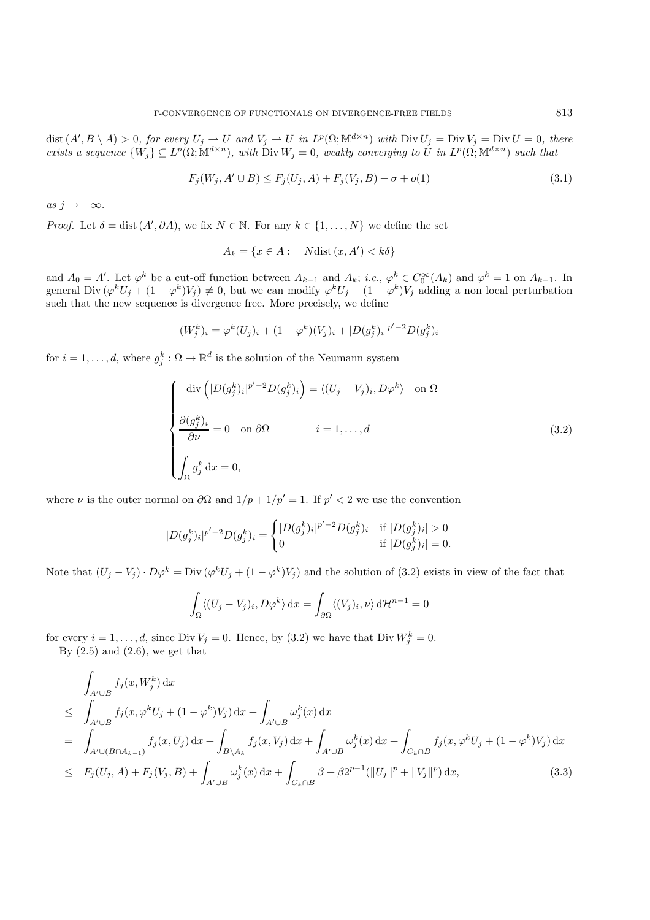$dist(A', B \setminus A) > 0$ , for every  $U_j \rightharpoonup U$  and  $V_j \rightharpoonup U$  in  $L^p(\Omega; \mathbb{M}^{d \times n})$  with  $Div U_j = Div V_j = Div U = 0$ , there  $exists \ a \ sequence \{W_j\} \subseteq L^p(\Omega; \mathbb{M}^{d \times n})$ , with  $\text{Div } W_j = 0$ , weakly converging to U in  $L^p(\Omega; \mathbb{M}^{d \times n})$  such that

$$
F_j(W_j, A' \cup B) \le F_j(U_j, A) + F_j(V_j, B) + \sigma + o(1) \tag{3.1}
$$

 $as\ j \rightarrow +\infty$ *.* 

*Proof.* Let  $\delta = \text{dist}(A', \partial A)$ , we fix  $N \in \mathbb{N}$ . For any  $k \in \{1, ..., N\}$  we define the set

$$
A_k = \{ x \in A : \quad N \text{dist}(x, A') < k \delta \}
$$

and  $A_0 = A'$ . Let  $\varphi^k$  be a cut-off function between  $A_{k-1}$  and  $A_k$ ; *i.e.*,  $\varphi^k \in C_0^{\infty}(A_k)$  and  $\varphi^k = 1$  on  $A_{k-1}$ . In general Div  $(\varphi^k U_j + (1 - \varphi^k)V_j) \neq 0$ , but we can modify  $\varphi^k U_j + (1 - \varphi^k)V_j$  adding a non local perturbation such that the new sequence is divergence free. More precisely, we define

$$
(W_j^k)_i = \varphi^k(U_j)_i + (1 - \varphi^k)(V_j)_i + |D(g_j^k)_i|^{p'-2} D(g_j^k)_i
$$

for  $i = 1, \ldots, d$ , where  $g_i^k : \Omega \to \mathbb{R}^d$  is the solution of the Neumann system

$$
\begin{cases}\n-\text{div}\left(|D(g_j^k)_i|^{p'-2}D(g_j^k)_i\right) = \langle (U_j - V_j)_i, D\varphi^k \rangle & \text{on } \Omega \\
\frac{\partial (g_j^k)_i}{\partial \nu} = 0 & \text{on } \partial\Omega & i = 1, ..., d \\
\int_{\Omega} g_j^k \, dx = 0,\n\end{cases}
$$
\n(3.2)

where  $\nu$  is the outer normal on  $\partial\Omega$  and  $1/p + 1/p' = 1$ . If  $p' < 2$  we use the convention

$$
|D(g_j^k)_i|^{p'-2}D(g_j^k)_i=\begin{cases}|D(g_j^k)_i|^{p'-2}D(g_j^k)_i&\text{if }|D(g_j^k)_i|>0\\0&\text{if }|D(g_j^k)_i|=0.\end{cases}
$$

Note that  $(U_j - V_j) \cdot D\varphi^k = Div(\varphi^k U_j + (1 - \varphi^k)V_j)$  and the solution of (3.2) exists in view of the fact that

$$
\int_{\Omega} \langle (U_j - V_j)_i, D\varphi^k \rangle \, \mathrm{d}x = \int_{\partial \Omega} \langle (V_j)_i, \nu \rangle \, \mathrm{d}x^n \, \mathrm{d}y^n = 0
$$

for every  $i = 1, ..., d$ , since Div  $V_j = 0$ . Hence, by (3.2) we have that Div  $W_j^k = 0$ . By  $(2.5)$  and  $(2.6)$ , we get that

$$
\int_{A' \cup B} f_j(x, W_j^k) dx
$$
\n
$$
\leq \int_{A' \cup B} f_j(x, \varphi^k U_j + (1 - \varphi^k) V_j) dx + \int_{A' \cup B} \omega_j^k(x) dx
$$
\n
$$
= \int_{A' \cup (B \cap A_{k-1})} f_j(x, U_j) dx + \int_{B \setminus A_k} f_j(x, V_j) dx + \int_{A' \cup B} \omega_j^k(x) dx + \int_{C_k \cap B} f_j(x, \varphi^k U_j + (1 - \varphi^k) V_j) dx
$$
\n
$$
\leq F_j(U_j, A) + F_j(V_j, B) + \int_{A' \cup B} \omega_j^k(x) dx + \int_{C_k \cap B} \beta + \beta 2^{p-1} (\|U_j\|^p + \|V_j\|^p) dx, \tag{3.3}
$$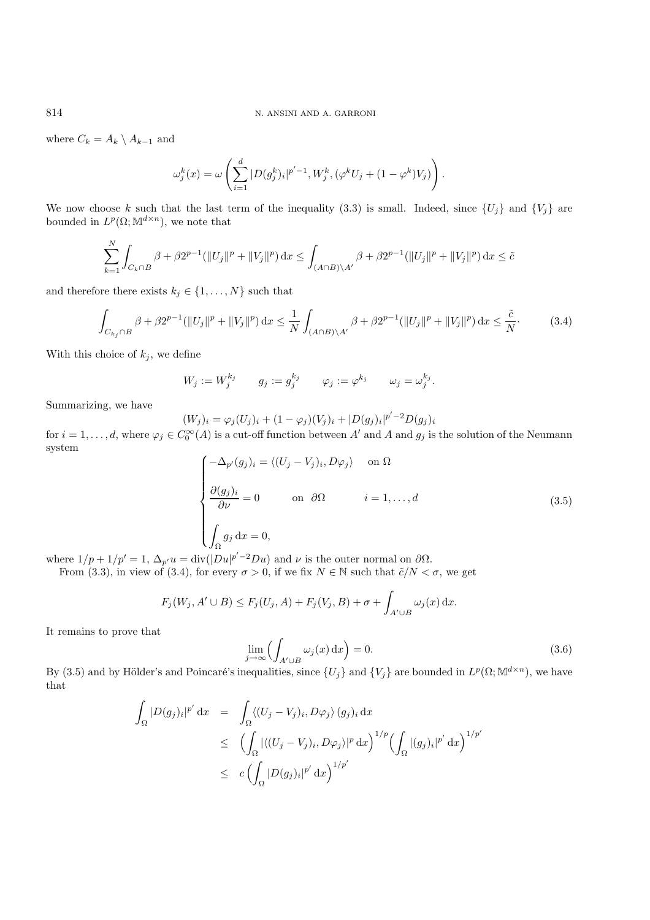where  $C_k = A_k \setminus A_{k-1}$  and

$$
\omega_j^k(x)=\omega\left(\sum_{i=1}^d|D(g_j^k)_i|^{p'-1},W_j^k,(\varphi^kU_j+(1-\varphi^k)V_j)\right).
$$

We now choose k such that the last term of the inequality (3.3) is small. Indeed, since  $\{U_j\}$  and  $\{V_j\}$  are bounded in  $L^p(\Omega; \mathbb{M}^{d \times n})$ , we note that

$$
\sum_{k=1}^N \int_{C_k \cap B} \beta + \beta 2^{p-1} (||U_j||^p + ||V_j||^p) \, dx \le \int_{(A \cap B) \backslash A'} \beta + \beta 2^{p-1} (||U_j||^p + ||V_j||^p) \, dx \le \tilde{c}
$$

and therefore there exists  $k_j \in \{1, ..., N\}$  such that

$$
\int_{C_{k_j} \cap B} \beta + \beta 2^{p-1} (\|U_j\|^p + \|V_j\|^p) dx \le \frac{1}{N} \int_{(A \cap B) \setminus A'} \beta + \beta 2^{p-1} (\|U_j\|^p + \|V_j\|^p) dx \le \frac{\tilde{c}}{N}.
$$
 (3.4)

With this choice of  $k_j$ , we define

$$
W_j := W_j^{k_j} \qquad g_j := g_j^{k_j} \qquad \varphi_j := \varphi^{k_j} \qquad \omega_j = \omega_j^{k_j}.
$$

Summarizing, we have

$$
(W_j)_i = \varphi_j(U_j)_i + (1 - \varphi_j)(V_j)_i + |D(g_j)_i|^{p'-2} D(g_j)_i
$$

for  $i = 1, \ldots, d$ , where  $\varphi_j \in C_0^{\infty}(A)$  is a cut-off function between  $A'$  and  $A$  and  $g_j$  is the solution of the Neumann system

$$
\begin{cases}\n-\Delta_{p'}(g_j)_i = \langle (U_j - V_j)_i, D\varphi_j \rangle & \text{on } \Omega \\
\frac{\partial (g_j)_i}{\partial \nu} = 0 & \text{on } \partial \Omega & i = 1, ..., d \\
\int_{\Omega} g_j \, dx = 0,\n\end{cases}
$$
\n(3.5)

where  $1/p + 1/p' = 1$ ,  $\Delta_{p'} u = \text{div}(|Du|^{p'-2}Du)$  and  $\nu$  is the outer normal on  $\partial\Omega$ .

From (3.3), in view of (3.4), for every  $\sigma > 0$ , if we fix  $N \in \mathbb{N}$  such that  $\tilde{c}/N < \sigma$ , we get

$$
F_j(W_j, A' \cup B) \le F_j(U_j, A) + F_j(V_j, B) + \sigma + \int_{A' \cup B} \omega_j(x) dx.
$$

It remains to prove that

$$
\lim_{j \to \infty} \left( \int_{A' \cup B} \omega_j(x) \, \mathrm{d}x \right) = 0. \tag{3.6}
$$

By (3.5) and by Hölder's and Poincaré's inequalities, since  $\{U_j\}$  and  $\{V_j\}$  are bounded in  $L^p(\Omega; \mathbb{M}^{d \times n})$ , we have that

$$
\int_{\Omega} |D(g_j)_i|^{p'} dx = \int_{\Omega} \langle (U_j - V_j)_i, D\varphi_j \rangle (g_j)_i dx
$$
  
\n
$$
\leq \left( \int_{\Omega} |\langle (U_j - V_j)_i, D\varphi_j \rangle|^p dx \right)^{1/p} \left( \int_{\Omega} |(g_j)_i|^{p'} dx \right)^{1/p'}
$$
  
\n
$$
\leq c \left( \int_{\Omega} |D(g_j)_i|^{p'} dx \right)^{1/p'}
$$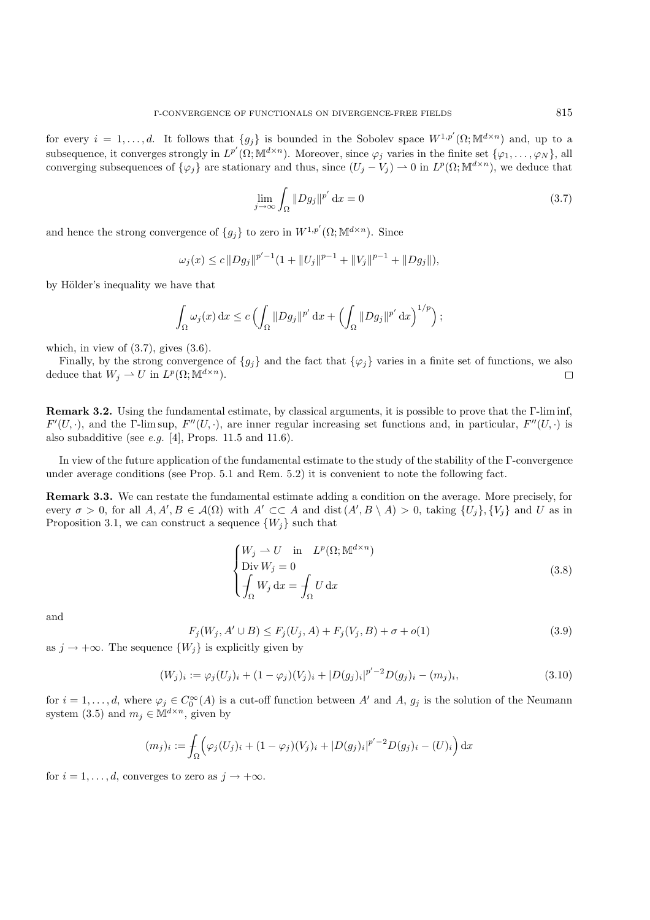for every  $i = 1, \ldots, d$ . It follows that  ${g_i}$  is bounded in the Sobolev space  $W^{1,p'}(\Omega; \mathbb{M}^{d \times n})$  and, up to a subsequence, it converges strongly in  $L^{p'}(\Omega; \mathbb{M}^{d \times n})$ . Moreover, since  $\varphi_j$  varies in the finite set  $\{\varphi_1, \ldots, \varphi_N\}$ , all converging subsequences of  $\{\varphi_j\}$  are stationary and thus, since  $(U_j - V_j) \to 0$  in  $L^p(\Omega; \mathbb{M}^{d \times n})$ , we deduce that

$$
\lim_{j \to \infty} \int_{\Omega} \|Dg_j\|^{p'} \, \mathrm{d}x = 0 \tag{3.7}
$$

and hence the strong convergence of  ${g_j}$  to zero in  $W^{1,p'}(\Omega; \mathbb{M}^{d \times n})$ . Since

$$
\omega_j(x) \leq c \|Dg_j\|^{p'-1} (1 + \|U_j\|^{p-1} + \|V_j\|^{p-1} + \|Dg_j\|),
$$

by Hölder's inequality we have that

$$
\int_{\Omega} \omega_j(x) dx \leq c \left( \int_{\Omega} \|Dg_j\|^{p'} dx + \left( \int_{\Omega} \|Dg_j\|^{p'} dx \right)^{1/p} \right);
$$

which, in view of  $(3.7)$ , gives  $(3.6)$ .

Finally, by the strong convergence of  ${g_j}$  and the fact that  ${\varphi_j}$  varies in a finite set of functions, we also deduce that  $W_j \rightharpoonup U$  in  $L^p(\Omega; \mathbb{M}^{d \times n})$ .  $\Box$ 

**Remark 3.2.** Using the fundamental estimate, by classical arguments, it is possible to prove that the Γ-lim inf,  $F'(U, \cdot)$ , and the  $\Gamma$ -lim sup,  $F''(U, \cdot)$ , are inner regular increasing set functions and, in particular,  $F''(U, \cdot)$  is also subadditive (see *e.g.* [4], Props. 11.5 and 11.6).

In view of the future application of the fundamental estimate to the study of the stability of the Γ-convergence under average conditions (see Prop. 5.1 and Rem. 5.2) it is convenient to note the following fact.

**Remark 3.3.** We can restate the fundamental estimate adding a condition on the average. More precisely, for every  $\sigma > 0$ , for all  $A, A', B \in \mathcal{A}(\Omega)$  with  $A' \subset\subset A$  and  $\text{dist}(A', B \setminus A) > 0$ , taking  $\{U_j\}, \{V_j\}$  and U as in Proposition 3.1, we can construct a sequence  $\{W_j\}$  such that

$$
\begin{cases}\nW_j \to U & \text{in } L^p(\Omega; \mathbb{M}^{d \times n}) \\
\text{Div } W_j = 0 \\
\int_{\Omega} W_j \, \mathrm{d}x = \int_{\Omega} U \, \mathrm{d}x\n\end{cases}
$$
\n(3.8)

and

$$
F_j(W_j, A' \cup B) \le F_j(U_j, A) + F_j(V_j, B) + \sigma + o(1)
$$
\n(3.9)

as  $j \to +\infty$ . The sequence  $\{W_j\}$  is explicitly given by

$$
(W_j)_i := \varphi_j(U_j)_i + (1 - \varphi_j)(V_j)_i + |D(g_j)_i|^{p'-2} D(g_j)_i - (m_j)_i,
$$
\n(3.10)

for  $i = 1, \ldots, d$ , where  $\varphi_j \in C_0^{\infty}(A)$  is a cut-off function between A' and A,  $g_j$  is the solution of the Neumann system (3.5) and  $m_j \in \mathbb{M}^{d \times n}$ , given by

$$
(m_j)_i := \int_{\Omega} \left( \varphi_j(U_j)_i + (1 - \varphi_j)(V_j)_i + |D(g_j)_i|^{p'-2} D(g_j)_i - (U)_i \right) dx
$$

for  $i = 1, \ldots, d$ , converges to zero as  $j \to +\infty$ .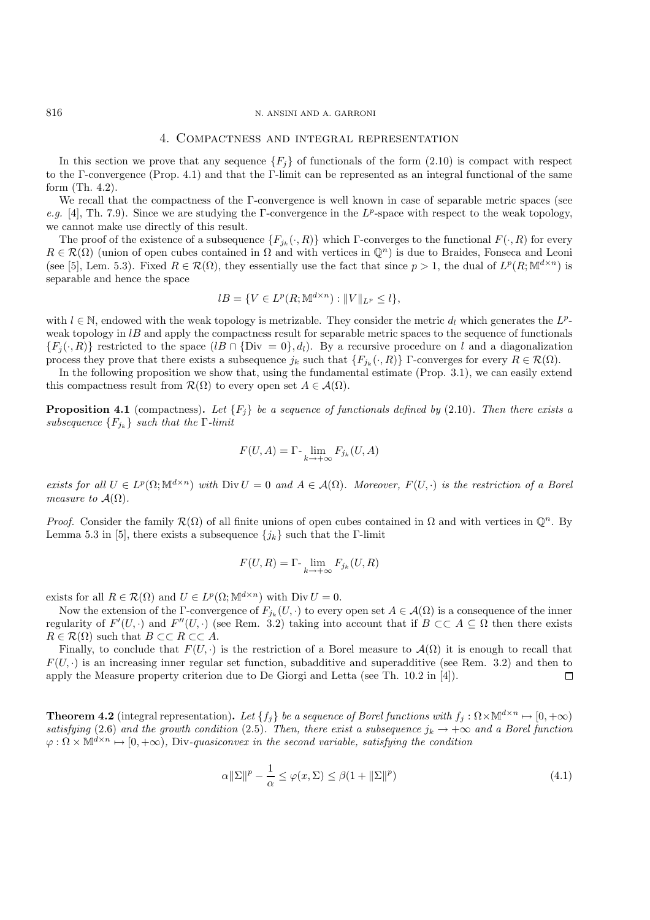# 4. Compactness and integral representation

In this section we prove that any sequence  ${F_i}$  of functionals of the form (2.10) is compact with respect to the Γ-convergence (Prop. 4.1) and that the Γ-limit can be represented as an integral functional of the same form (Th. 4.2).

We recall that the compactness of the Γ-convergence is well known in case of separable metric spaces (see *e.g.* [4], Th. 7.9). Since we are studying the Γ-convergence in the  $L^p$ -space with respect to the weak topology, we cannot make use directly of this result.

The proof of the existence of a subsequence  $\{F_{j_k}(\cdot, R)\}$  which Γ-converges to the functional  $F(\cdot, R)$  for every  $R \in \mathcal{R}(\Omega)$  (union of open cubes contained in  $\Omega$  and with vertices in  $\mathbb{Q}^n$ ) is due to Braides, Fonseca and Leoni (see [5], Lem. 5.3). Fixed  $R \in \mathcal{R}(\Omega)$ , they essentially use the fact that since  $p > 1$ , the dual of  $L^p(R; \mathbb{M}^{d \times n})$  is separable and hence the space

$$
lB = \{ V \in L^p(R; \mathbb{M}^{d \times n}) : ||V||_{L^p} \le l \},\
$$

with  $l \in \mathbb{N}$ , endowed with the weak topology is metrizable. They consider the metric  $d_l$  which generates the  $L^p$ weak topology in  $lB$  and apply the compactness result for separable metric spaces to the sequence of functionals  $\{F_i(\cdot, R)\}\$  restricted to the space  $(lB \cap \{Div = 0\}, d_l)$ . By a recursive procedure on l and a diagonalization process they prove that there exists a subsequence  $j_k$  such that  $\{F_{j_k}(\cdot, R)\}\,$  Γ-converges for every  $R \in \mathcal{R}(\Omega)$ .

In the following proposition we show that, using the fundamental estimate (Prop. 3.1), we can easily extend this compactness result from  $\mathcal{R}(\Omega)$  to every open set  $A \in \mathcal{A}(\Omega)$ .

**Proposition 4.1** (compactness). Let  ${F_i}$  be a sequence of functionals defined by (2.10). Then there exists a *subsequence*  ${F_{j_k}}$  *such that the* Γ*-limit* 

$$
F(U, A) = \Gamma \cdot \lim_{k \to +\infty} F_{j_k}(U, A)
$$

*exists for all*  $U \in L^p(\Omega; \mathbb{M}^{d \times n})$  *with*  $\text{Div } U = 0$  *and*  $A \in \mathcal{A}(\Omega)$ *. Moreover,*  $F(U, \cdot)$  *is the restriction of a Borel measure to*  $A(\Omega)$ *.* 

*Proof.* Consider the family  $\mathcal{R}(\Omega)$  of all finite unions of open cubes contained in  $\Omega$  and with vertices in  $\mathbb{Q}^n$ . By Lemma 5.3 in [5], there exists a subsequence  $\{j_k\}$  such that the Γ-limit

$$
F(U,R) = \Gamma \cdot \lim_{k \to +\infty} F_{j_k}(U,R)
$$

exists for all  $R \in \mathcal{R}(\Omega)$  and  $U \in L^p(\Omega; \mathbb{M}^{d \times n})$  with  $\text{Div } U = 0$ .

Now the extension of the Γ-convergence of  $F_{j_k}(U, \cdot)$  to every open set  $A \in \mathcal{A}(\Omega)$  is a consequence of the inner regularity of  $F'(U, \cdot)$  and  $F''(U, \cdot)$  (see Rem. 3.2) taking into account that if  $B \subset\subset A \subseteq \Omega$  then there exists  $R \in \mathcal{R}(\Omega)$  such that  $B \subset\subset R \subset\subset A$ .

Finally, to conclude that  $F(U, \cdot)$  is the restriction of a Borel measure to  $\mathcal{A}(\Omega)$  it is enough to recall that  $F(U, \cdot)$  is an increasing inner regular set function, subadditive and superadditive (see Rem. 3.2) and then to apply the Measure property criterion due to De Giorgi and Letta (see Th. 10.2 in [4]).  $\Box$ 

**Theorem 4.2** (integral representation). Let  $\{f_j\}$  be a sequence of Borel functions with  $f_j : \Omega \times \mathbb{M}^{d \times n} \mapsto [0, +\infty)$ *satisfying* (2.6) and the growth condition (2.5). Then, there exist a subsequence  $j_k \to +\infty$  and a Borel function  $\varphi : \Omega \times M^{d \times n} \longrightarrow [0, +\infty)$ , Div-quasiconvex in the second variable, satisfying the condition

$$
\alpha \|\Sigma\|^p - \frac{1}{\alpha} \le \varphi(x, \Sigma) \le \beta(1 + \|\Sigma\|^p)
$$
\n(4.1)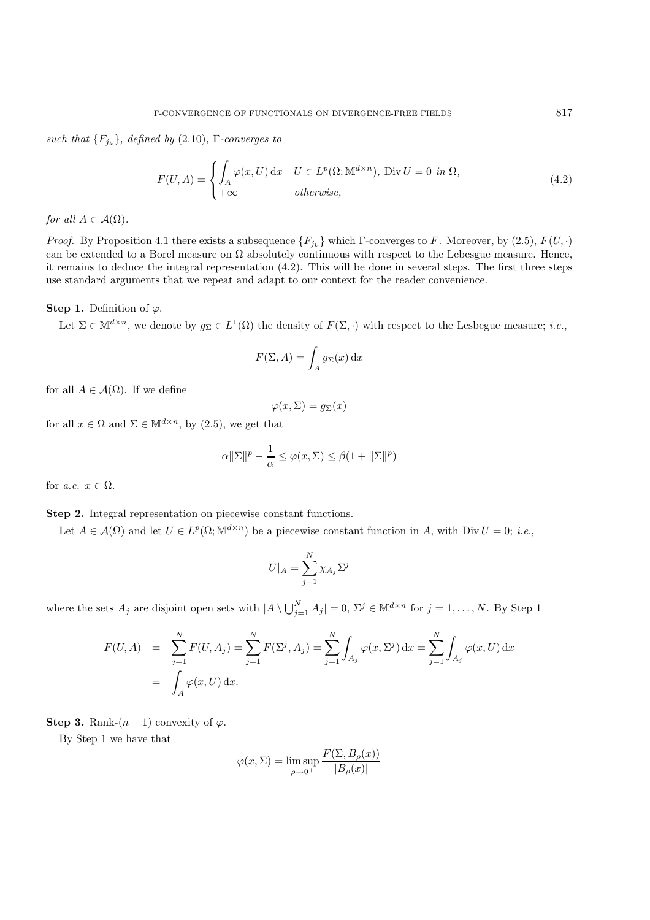*such that*  ${F_{i_k}}$ *, defined by* (2.10)*,* Γ*-converges to* 

$$
F(U, A) = \begin{cases} \int_{A} \varphi(x, U) dx & U \in L^{p}(\Omega; \mathbb{M}^{d \times n}), \text{ Div } U = 0 \text{ in } \Omega, \\ +\infty & otherwise, \end{cases}
$$
(4.2)

*for all*  $A \in \mathcal{A}(\Omega)$ *.* 

*Proof.* By Proposition 4.1 there exists a subsequence  $\{F_{j_k}\}\$  which  $\Gamma$ -converges to F. Moreover, by (2.5),  $F(U, \cdot)$ can be extended to a Borel measure on  $\Omega$  absolutely continuous with respect to the Lebesgue measure. Hence, it remains to deduce the integral representation (4.2). This will be done in several steps. The first three steps use standard arguments that we repeat and adapt to our context for the reader convenience.

#### **Step 1.** Definition of  $\varphi$ .

Let  $\Sigma \in M^{d \times n}$ , we denote by  $g_{\Sigma} \in L^{1}(\Omega)$  the density of  $F(\Sigma, \cdot)$  with respect to the Lesbegue measure; *i.e.*,

$$
F(\Sigma, A) = \int_A g_\Sigma(x) \, \mathrm{d}x
$$

for all  $A \in \mathcal{A}(\Omega)$ . If we define

$$
\varphi(x,\Sigma)=g_{\Sigma}(x)
$$

for all  $x \in \Omega$  and  $\Sigma \in \mathbb{M}^{d \times n}$ , by (2.5), we get that

$$
\alpha \|\Sigma\|^p - \frac{1}{\alpha} \le \varphi(x, \Sigma) \le \beta(1 + \|\Sigma\|^p)
$$

for *a.e.*  $x \in \Omega$ .

# **Step 2.** Integral representation on piecewise constant functions.

Let  $A \in \mathcal{A}(\Omega)$  and let  $U \in L^p(\Omega; \mathbb{M}^{d \times n})$  be a piecewise constant function in A, with Div  $U = 0$ ; *i.e.*,

$$
U|_A = \sum_{j=1}^N \chi_{A_j} \Sigma^j
$$

where the sets  $A_j$  are disjoint open sets with  $|A \setminus \bigcup_{j=1}^N A_j| = 0$ ,  $\Sigma^j \in M^{d \times n}$  for  $j = 1, ..., N$ . By Step 1

$$
F(U, A) = \sum_{j=1}^{N} F(U, A_j) = \sum_{j=1}^{N} F(\Sigma^j, A_j) = \sum_{j=1}^{N} \int_{A_j} \varphi(x, \Sigma^j) dx = \sum_{j=1}^{N} \int_{A_j} \varphi(x, U) dx
$$
  
=  $\int_{A} \varphi(x, U) dx.$ 

**Step 3.** Rank- $(n-1)$  convexity of  $\varphi$ .

By Step 1 we have that

$$
\varphi(x,\Sigma) = \limsup_{\rho \to 0^+} \frac{F(\Sigma, B_{\rho}(x))}{|B_{\rho}(x)|}
$$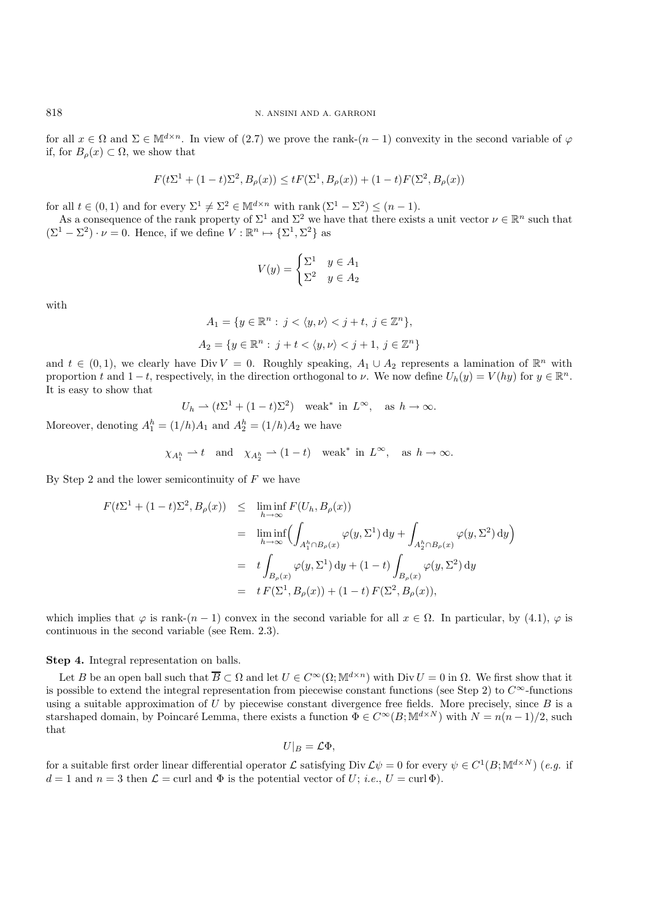for all  $x \in \Omega$  and  $\Sigma \in M^{d \times n}$ . In view of (2.7) we prove the rank- $(n-1)$  convexity in the second variable of  $\varphi$ if, for  $B<sub>o</sub>(x) \subset \Omega$ , we show that

$$
F(t\Sigma^1+(1-t)\Sigma^2,B_\rho(x))\leq tF(\Sigma^1,B_\rho(x))+(1-t)F(\Sigma^2,B_\rho(x))
$$

for all  $t \in (0,1)$  and for every  $\Sigma^1 \neq \Sigma^2 \in \mathbb{M}^{d \times n}$  with rank  $(\Sigma^1 - \Sigma^2) \leq (n-1)$ .

As a consequence of the rank property of  $\Sigma^1$  and  $\Sigma^2$  we have that there exists a unit vector  $\nu \in \mathbb{R}^n$  such that  $(\Sigma^1 - \Sigma^2) \cdot \nu = 0$ . Hence, if we define  $V : \mathbb{R}^n \mapsto {\{\Sigma^1, \Sigma^2\}}$  as

$$
V(y) = \begin{cases} \Sigma^1 & y \in A_1 \\ \Sigma^2 & y \in A_2 \end{cases}
$$

with

$$
A_1 = \{ y \in \mathbb{R}^n : j < \langle y, \nu \rangle < j + t, \ j \in \mathbb{Z}^n \},
$$
\n
$$
A_2 = \{ y \in \mathbb{R}^n : j + t < \langle y, \nu \rangle < j + 1, \ j \in \mathbb{Z}^n \}
$$

and  $t \in (0,1)$ , we clearly have Div  $V = 0$ . Roughly speaking,  $A_1 \cup A_2$  represents a lamination of  $\mathbb{R}^n$  with proportion t and  $1-t$ , respectively, in the direction orthogonal to v. We now define  $U_h(y) = V(hy)$  for  $y \in \mathbb{R}^n$ . It is easy to show that

 $U_h \rightharpoonup (t\Sigma^1 + (1-t)\Sigma^2)$  weak<sup>\*</sup> in  $L^{\infty}$ , as  $h \to \infty$ .

Moreover, denoting  $A_1^h = (1/h)A_1$  and  $A_2^h = (1/h)A_2$  we have

$$
\chi_{A_1^h} \to t
$$
 and  $\chi_{A_2^h} \to (1-t)$  weak<sup>\*</sup> in  $L^{\infty}$ , as  $h \to \infty$ .

By Step 2 and the lower semicontinuity of  $F$  we have

$$
F(t\Sigma^{1} + (1-t)\Sigma^{2}, B_{\rho}(x)) \leq \liminf_{h \to \infty} F(U_{h}, B_{\rho}(x))
$$
  
\n
$$
= \liminf_{h \to \infty} \left( \int_{A_{1}^{h} \cap B_{\rho}(x)} \varphi(y, \Sigma^{1}) dy + \int_{A_{2}^{h} \cap B_{\rho}(x)} \varphi(y, \Sigma^{2}) dy \right)
$$
  
\n
$$
= t \int_{B_{\rho}(x)} \varphi(y, \Sigma^{1}) dy + (1-t) \int_{B_{\rho}(x)} \varphi(y, \Sigma^{2}) dy
$$
  
\n
$$
= t F(\Sigma^{1}, B_{\rho}(x)) + (1-t) F(\Sigma^{2}, B_{\rho}(x)),
$$

which implies that  $\varphi$  is rank- $(n-1)$  convex in the second variable for all  $x \in \Omega$ . In particular, by (4.1),  $\varphi$  is continuous in the second variable (see Rem. 2.3).

**Step 4.** Integral representation on balls.

Let B be an open ball such that  $\overline{B} \subset \Omega$  and let  $U \in C^{\infty}(\Omega; \mathbb{M}^{d \times n})$  with Div  $U = 0$  in  $\Omega$ . We first show that it is possible to extend the integral representation from piecewise constant functions (see Step 2) to  $C^{\infty}$ -functions using a suitable approximation of  $U$  by piecewise constant divergence free fields. More precisely, since  $B$  is a starshaped domain, by Poincaré Lemma, there exists a function  $\widetilde{\Phi} \in C^{\infty}(B; \mathbb{M}^{d \times N})$  with  $N = n(n-1)/2$ , such that

$$
U|_{B}=\mathcal{L}\Phi,
$$

for a suitable first order linear differential operator L satisfying Div  $\mathcal{L}\psi = 0$  for every  $\psi \in C^1(B; \mathbb{M}^{d \times N})$  (*e.g.* if  $d = 1$  and  $n = 3$  then  $\mathcal{L} = \text{curl}$  and  $\Phi$  is the potential vector of U; *i.e.*,  $U = \text{curl} \Phi$ ).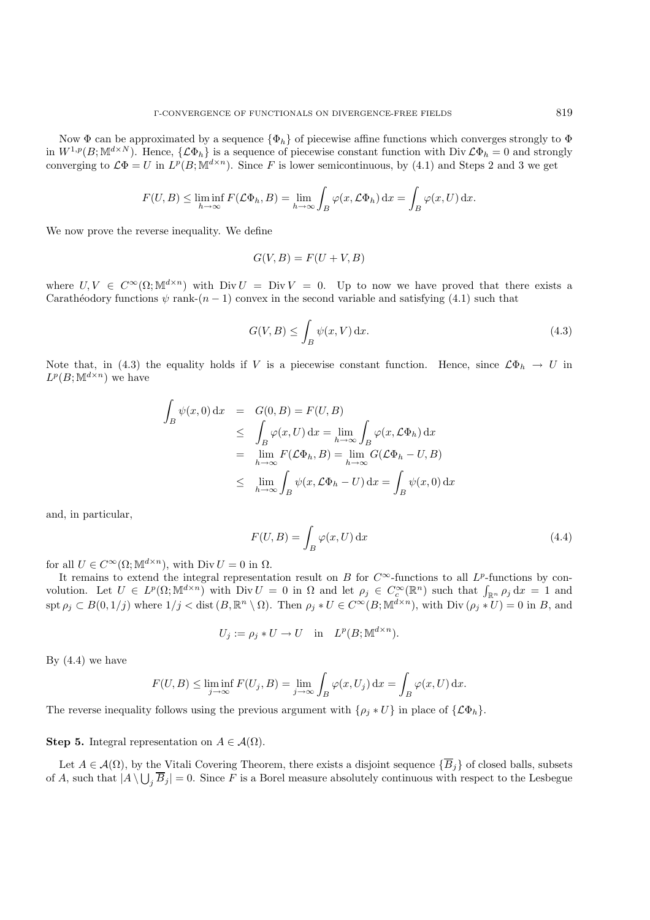Now  $\Phi$  can be approximated by a sequence  $\{\Phi_h\}$  of piecewise affine functions which converges strongly to  $\Phi$ in  $W^{1,p}(B; \mathbb{M}^{d\times N})$ . Hence,  $\{\mathcal{L}\Phi_h\}$  is a sequence of piecewise constant function with Div  $\mathcal{L}\Phi_h = 0$  and strongly converging to  $\mathcal{L}\Phi = U$  in  $L^p(B; \mathbb{M}^{d \times n})$ . Since F is lower semicontinuous, by (4.1) and Steps 2 and 3 we get

$$
F(U, B) \le \liminf_{h \to \infty} F(\mathcal{L}\Phi_h, B) = \lim_{h \to \infty} \int_B \varphi(x, \mathcal{L}\Phi_h) dx = \int_B \varphi(x, U) dx.
$$

We now prove the reverse inequality. We define

$$
G(V, B) = F(U + V, B)
$$

where  $U, V \in C^{\infty}(\Omega; \mathbb{M}^{d \times n})$  with  $Div U = Div V = 0$ . Up to now we have proved that there exists a Carathéodory functions  $\psi$  rank- $(n - 1)$  convex in the second variable and satisfying (4.1) such that

$$
G(V, B) \le \int_{B} \psi(x, V) dx.
$$
\n(4.3)

Note that, in (4.3) the equality holds if V is a piecewise constant function. Hence, since  $\mathcal{L}\Phi_h \to U$  in  $L^p(B;{\mathbb M}^{d\times n})$  we have

$$
\int_{B} \psi(x,0) dx = G(0, B) = F(U, B)
$$
\n
$$
\leq \int_{B} \varphi(x, U) dx = \lim_{h \to \infty} \int_{B} \varphi(x, \mathcal{L}\Phi_h) dx
$$
\n
$$
= \lim_{h \to \infty} F(\mathcal{L}\Phi_h, B) = \lim_{h \to \infty} G(\mathcal{L}\Phi_h - U, B)
$$
\n
$$
\leq \lim_{h \to \infty} \int_{B} \psi(x, \mathcal{L}\Phi_h - U) dx = \int_{B} \psi(x, 0) dx
$$

and, in particular,

$$
F(U, B) = \int_{B} \varphi(x, U) dx
$$
\n(4.4)

for all  $U \in C^{\infty}(\Omega; \mathbb{M}^{d \times n})$ , with Div  $U = 0$  in  $\Omega$ .

It remains to extend the integral representation result on B for  $C^{\infty}$ -functions to all  $L^p$ -functions by convolution. Let  $U \in L^p(\Omega; \mathbb{M}^{d \times n})$  with  $Div U = 0$  in  $\Omega$  and let  $\rho_j \in C_c^{\infty}(\mathbb{R}^n)$  such that  $\int_{\mathbb{R}^n} \rho_j dx = 1$  and  $\text{spt } \rho_j \subset B(0, 1/j)$  where  $1/j < \text{dist}(B, \mathbb{R}^n \setminus \Omega)$ . Then  $\rho_j * U \in C^{\infty}(B; \mathbb{M}^{d \times n})$ , with  $\text{Div}(\rho_j * U) = 0$  in B, and

$$
U_j := \rho_j * U \to U \quad \text{in} \quad L^p(B; \mathbb{M}^{d \times n}).
$$

By  $(4.4)$  we have

$$
F(U, B) \le \liminf_{j \to \infty} F(U_j, B) = \lim_{j \to \infty} \int_B \varphi(x, U_j) dx = \int_B \varphi(x, U) dx.
$$

The reverse inequality follows using the previous argument with  $\{\rho_j * U\}$  in place of  $\{\mathcal{L}\Phi_h\}.$ 

#### **Step 5.** Integral representation on  $A \in \mathcal{A}(\Omega)$ .

Let  $A \in \mathcal{A}(\Omega)$ , by the Vitali Covering Theorem, there exists a disjoint sequence  $\{\overline{B}_i\}$  of closed balls, subsets of A, such that  $|A \setminus \bigcup_i \overline{B}_j| = 0$ . Since F is a Borel measure absolutely continuous with respect to the Lesbegue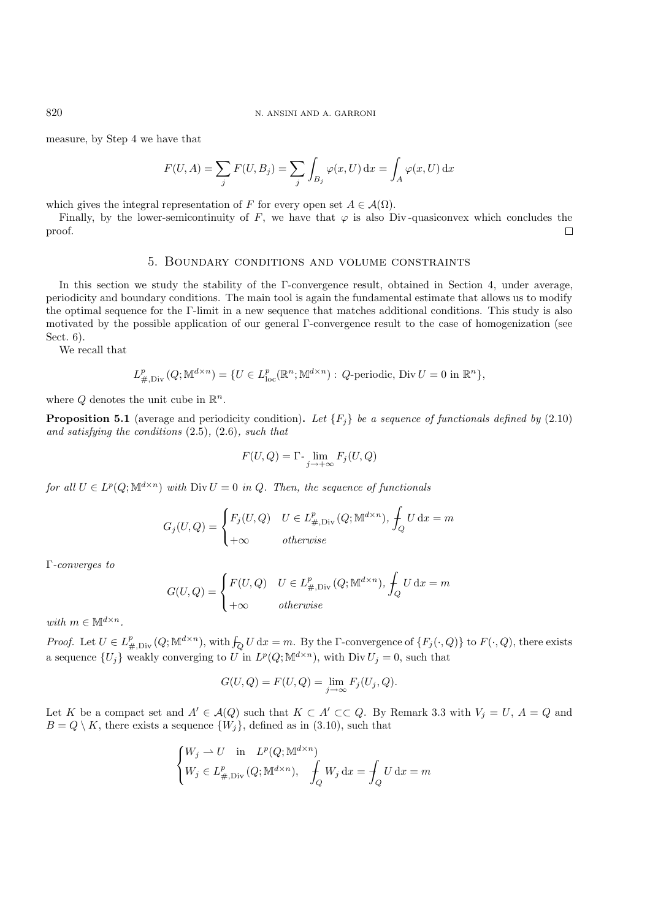measure, by Step 4 we have that

$$
F(U, A) = \sum_{j} F(U, B_j) = \sum_{j} \int_{B_j} \varphi(x, U) dx = \int_A \varphi(x, U) dx
$$

which gives the integral representation of F for every open set  $A \in \mathcal{A}(\Omega)$ .

Finally, by the lower-semicontinuity of F, we have that  $\varphi$  is also Div-quasiconvex which concludes the proof.  $\Box$ 

# 5. Boundary conditions and volume constraints

In this section we study the stability of the Γ-convergence result, obtained in Section 4, under average, periodicity and boundary conditions. The main tool is again the fundamental estimate that allows us to modify the optimal sequence for the Γ-limit in a new sequence that matches additional conditions. This study is also motivated by the possible application of our general Γ-convergence result to the case of homogenization (see Sect. 6).

We recall that

$$
L_{\#, \mathrm{Div}}^p(Q; \mathbb{M}^{d \times n}) = \{ U \in L_{\mathrm{loc}}^p(\mathbb{R}^n; \mathbb{M}^{d \times n}) : Q \text{-periodic, Div } U = 0 \text{ in } \mathbb{R}^n \},
$$

where Q denotes the unit cube in  $\mathbb{R}^n$ .

**Proposition 5.1** (average and periodicity condition). Let  $\{F_i\}$  be a sequence of functionals defined by (2.10) *and satisfying the conditions* (2.5)*,* (2.6)*, such that*

$$
F(U,Q) = \Gamma \cdot \lim_{j \to +\infty} F_j(U,Q)
$$

*for all*  $U \in L^p(Q; \mathbb{M}^{d \times n})$  *with*  $\text{Div } U = 0$  *in*  $Q$ *. Then, the sequence of functionals* 

$$
G_j(U, Q) = \begin{cases} F_j(U, Q) & U \in L^p_{\#, \text{Div}}(Q; \mathbb{M}^{d \times n}), \int_Q U \, \mathrm{d}x = m \\ +\infty & otherwise \end{cases}
$$

Γ*-converges to*

$$
G(U, Q) = \begin{cases} F(U, Q) & U \in L^p_{\#, \text{Div}}(Q; \mathbb{M}^{d \times n}), \int_Q U \, \mathrm{d}x = m \\ +\infty & otherwise \end{cases}
$$

*with*  $m \in \mathbb{M}^{d \times n}$ .

*Proof.* Let  $U \in L^p_{\#, \text{Div}}(Q; \mathbb{M}^{d \times n})$ , with  $\int_Q U dx = m$ . By the Γ-convergence of  $\{F_j(\cdot, Q)\}$  to  $F(\cdot, Q)$ , there exists a sequence  $\{U_j\}$  weakly converging to U in  $L^p(Q; \mathbb{M}^{d \times n})$ , with Div  $U_j = 0$ , such that

$$
G(U, Q) = F(U, Q) = \lim_{j \to \infty} F_j(U_j, Q).
$$

Let K be a compact set and  $A' \in \mathcal{A}(Q)$  such that  $K \subset A' \subset\subset Q$ . By Remark 3.3 with  $V_j = U, A = Q$  and  $B = Q \setminus K$ , there exists a sequence  $\{W_j\}$ , defined as in (3.10), such that

$$
\begin{cases} W_j \rightharpoonup U \quad \text{in} \quad L^p(Q; \mathbb{M}^{d \times n}) \\ W_j \in L^p_{\#, \text{Div}}(Q; \mathbb{M}^{d \times n}), \quad \int_Q W_j \, dx = \int_Q U \, dx = m \end{cases}
$$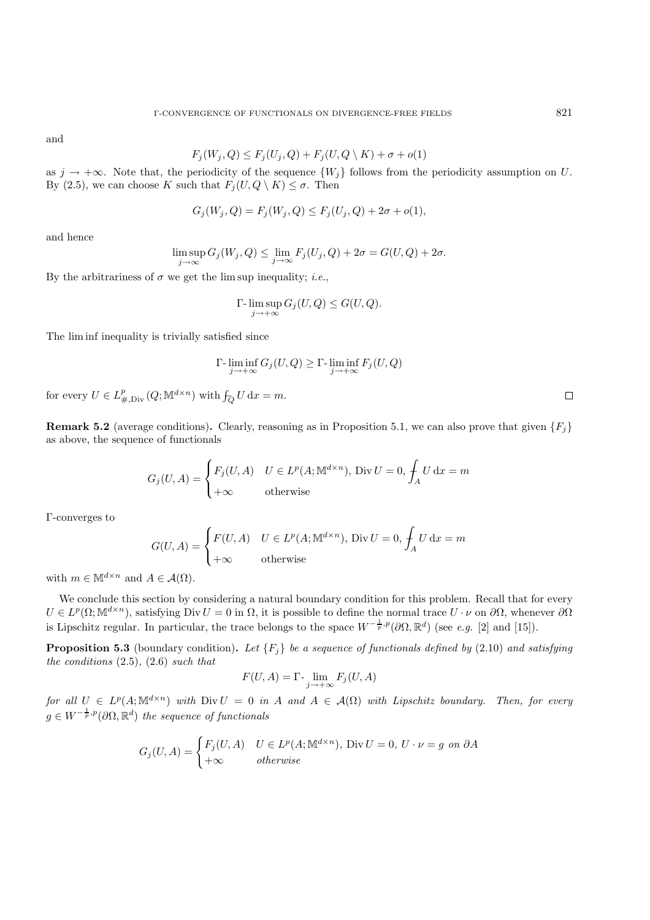and

$$
F_j(W_j, Q) \le F_j(U_j, Q) + F_j(U, Q \setminus K) + \sigma + o(1)
$$

as  $j \to +\infty$ . Note that, the periodicity of the sequence  $\{W_i\}$  follows from the periodicity assumption on U. By (2.5), we can choose K such that  $F_i(U, Q \setminus K) \leq \sigma$ . Then

$$
G_j(W_j, Q) = F_j(W_j, Q) \le F_j(U_j, Q) + 2\sigma + o(1),
$$

and hence

$$
\limsup_{j \to \infty} G_j(W_j, Q) \le \lim_{j \to \infty} F_j(U_j, Q) + 2\sigma = G(U, Q) + 2\sigma.
$$

By the arbitrariness of  $\sigma$  we get the lim sup inequality; *i.e.*,

$$
\Gamma\text{-}\limsup_{j\to+\infty} G_j(U,Q) \leq G(U,Q).
$$

The lim inf inequality is trivially satisfied since

$$
\Gamma\text{-}\liminf_{j\to+\infty} G_j(U,Q) \ge \Gamma\text{-}\liminf_{j\to+\infty} F_j(U,Q)
$$

for every  $U \in L^p_{\#, \mathrm{Div}}(Q; \mathbb{M}^{d \times n})$  with  $\int_{\mathcal{O}} U \, \mathrm{d}x = m$ .

**Remark 5.2** (average conditions). Clearly, reasoning as in Proposition 5.1, we can also prove that given  ${F_i}$ as above, the sequence of functionals

$$
G_j(U, A) = \begin{cases} F_j(U, A) & U \in L^p(A; \mathbb{M}^{d \times n}), \text{ Div } U = 0, \int_A U \, dx = m \\ +\infty & \text{otherwise} \end{cases}
$$

Γ-converges to

$$
G(U, A) = \begin{cases} F(U, A) & U \in L^p(A; \mathbb{M}^{d \times n}), \text{ Div } U = 0, \int_A U \, dx = m \\ +\infty & \text{otherwise} \end{cases}
$$

with  $m \in \mathbb{M}^{d \times n}$  and  $A \in \mathcal{A}(\Omega)$ .

We conclude this section by considering a natural boundary condition for this problem. Recall that for every  $U \in L^p(\Omega; \mathbb{M}^{d \times n})$ , satisfying Div  $U = 0$  in  $\Omega$ , it is possible to define the normal trace  $U \cdot \nu$  on  $\partial \Omega$ , whenever  $\partial \Omega$ is Lipschitz regular. In particular, the trace belongs to the space  $W^{-\frac{1}{p},p}(\partial\Omega,\mathbb{R}^d)$  (see *e.g.* [2] and [15]).

**Proposition 5.3** (boundary condition). Let  $\{F_j\}$  be a sequence of functionals defined by (2.10) and satisfying *the conditions* (2.5)*,* (2.6) *such that*

$$
F(U, A) = \Gamma \cdot \lim_{j \to +\infty} F_j(U, A)
$$

*for all*  $U \in L^p(A; \mathbb{M}^{d \times n})$  *with*  $Div U = 0$  *in* A *and*  $A \in \mathcal{A}(\Omega)$  *with Lipschitz boundary. Then, for every*  $g \in W^{-\frac{1}{p},p}(\partial \Omega,\mathbb{R}^d)$  the sequence of functionals

$$
G_j(U, A) = \begin{cases} F_j(U, A) & U \in L^p(A; \mathbb{M}^{d \times n}), \text{ Div } U = 0, U \cdot \nu = g \text{ on } \partial A \\ +\infty & otherwise \end{cases}
$$

 $\Box$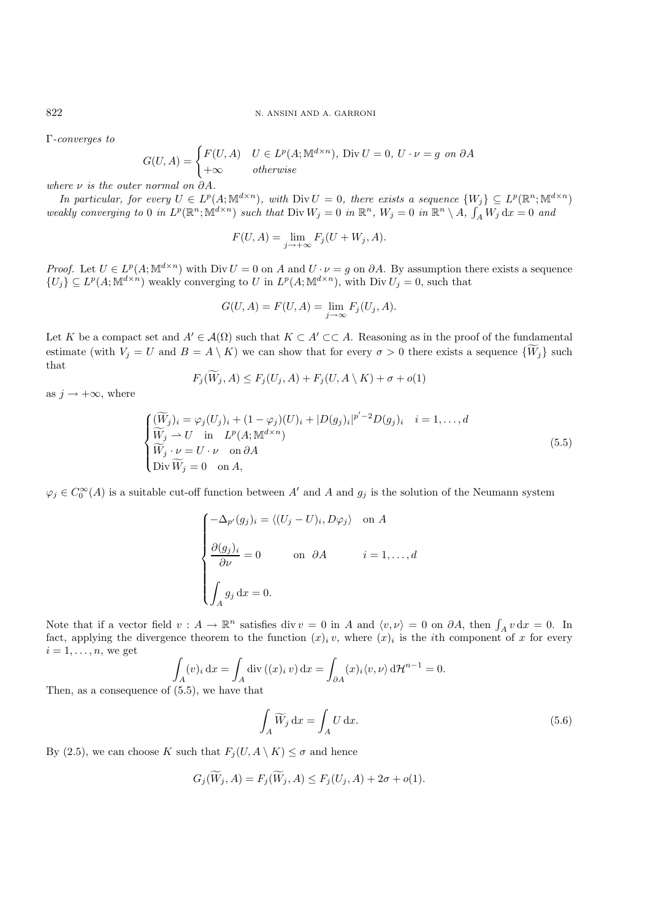Γ*-converges to*

$$
G(U, A) = \begin{cases} F(U, A) & U \in L^p(A; \mathbb{M}^{d \times n}), \text{ Div } U = 0, U \cdot \nu = g \text{ on } \partial A \\ +\infty & otherwise \end{cases}
$$

*where* ν *is the outer normal on* ∂A*.*

*In particular, for every*  $U \in L^p(A; \mathbb{M}^{d \times n})$ *, with* Div  $U = 0$ *, there exists a sequence*  $\{W_j\} \subseteq L^p(\mathbb{R}^n; \mathbb{M}^{d \times n})$ *weakly converging to* 0 *in*  $L^p(\mathbb{R}^n; \mathbb{M}^{d \times n})$  *such that*  $\text{Div } W_j = 0$  *in*  $\mathbb{R}^n$ ,  $W_j = 0$  *in*  $\mathbb{R}^n \setminus A$ ,  $\int_A W_j dx = 0$  *and* 

$$
F(U, A) = \lim_{j \to +\infty} F_j(U + W_j, A).
$$

*Proof.* Let  $U \in L^p(A; \mathbb{M}^{d \times n})$  with Div  $U = 0$  on A and  $U \cdot \nu = g$  on  $\partial A$ . By assumption there exists a sequence  ${U_j} \subseteq L^p(A; \mathbb{M}^{d \times n})$  weakly converging to U in  $L^p(A; \mathbb{M}^{d \times n})$ , with Div  $U_j = 0$ , such that

$$
G(U, A) = F(U, A) = \lim_{j \to \infty} F_j(U_j, A).
$$

Let K be a compact set and  $A' \in \mathcal{A}(\Omega)$  such that  $K \subset A' \subset\subset A$ . Reasoning as in the proof of the fundamental estimate (with  $V_j = U$  and  $B = A \setminus K$ ) we can show that for every  $\sigma > 0$  there exists a sequence  $\{W_j\}$  such that

$$
F_j(W_j, A) \le F_j(U_j, A) + F_j(U, A \setminus K) + \sigma + o(1)
$$

as  $j \rightarrow +\infty$ , where

$$
\begin{cases}\n(\widetilde{W}_j)_i = \varphi_j(U_j)_i + (1 - \varphi_j)(U)_i + |D(g_j)_i|^{p'-2}D(g_j)_i & i = 1, ..., d \\
\widetilde{W}_j \to U \quad \text{in} \quad L^p(A; \mathbb{M}^{d \times n}) \\
\widetilde{W}_j \cdot \nu = U \cdot \nu \quad \text{on } \partial A \\
\text{Div } \widetilde{W}_j = 0 \quad \text{on } A,\n\end{cases} \tag{5.5}
$$

 $\varphi_j \in C_0^{\infty}(A)$  is a suitable cut-off function between A' and A and  $g_j$  is the solution of the Neumann system

$$
\begin{cases}\n-\Delta_{p'}(g_j)_i = \langle (U_j - U)_i, D\varphi_j \rangle & \text{on } A \\
\frac{\partial (g_j)_i}{\partial \nu} = 0 & \text{on } \partial A \qquad i = 1, ..., d \\
\int_A g_j \, dx = 0.\n\end{cases}
$$

Note that if a vector field  $v : A \to \mathbb{R}^n$  satisfies div  $v = 0$  in A and  $\langle v, v \rangle = 0$  on  $\partial A$ , then  $\int_A v \, dx = 0$ . In fact, applying the divergence theorem to the function  $(x)_i v$ , where  $(x)_i$  is the *i*th component of x for every  $i = 1, \ldots, n$ , we get

$$
\int_A (v)_i \, dx = \int_A \text{div} \left( (x)_i v \right) dx = \int_{\partial A} (x)_i \langle v, \nu \rangle d\mathcal{H}^{n-1} = 0.
$$
\n
$$
\vdots (5.5), \text{ we have that}
$$

Then, as a consequence of  $(5.5)$ 

$$
\int_{A} \widetilde{W}_j \, \mathrm{d}x = \int_{A} U \, \mathrm{d}x. \tag{5.6}
$$

By (2.5), we can choose K such that  $F_i(U, A \setminus K) \leq \sigma$  and hence

$$
G_j(\widetilde{W}_j, A) = F_j(\widetilde{W}_j, A) \le F_j(U_j, A) + 2\sigma + o(1).
$$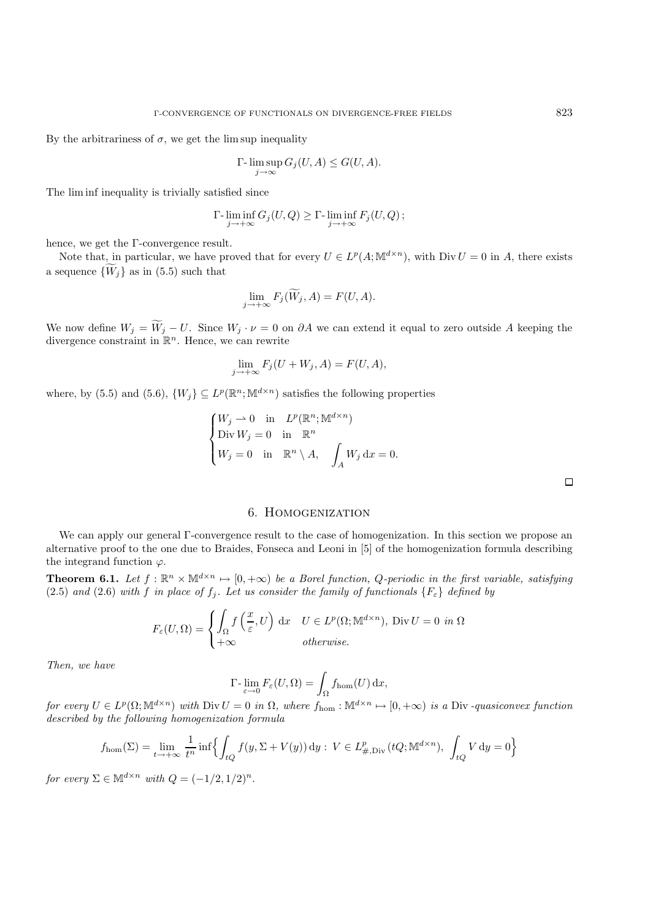By the arbitrariness of  $\sigma$ , we get the lim sup inequality

$$
\Gamma\hbox{-}\limsup_{j\to\infty}G_j(U,A)\leq G(U,A).
$$

The lim inf inequality is trivially satisfied since

$$
\Gamma\text{-}\liminf_{j\to+\infty} G_j(U,Q) \ge \Gamma\text{-}\liminf_{j\to+\infty} F_j(U,Q) \, ;
$$

hence, we get the Γ-convergence result.

Note that, in particular, we have proved that for every  $U \in L^p(A; \mathbb{M}^{d \times n})$ , with Div  $U = 0$  in A, there exists a sequence  ${W<sub>j</sub>}$  as in (5.5) such that

$$
\lim_{j \to +\infty} F_j(\widetilde{W}_j, A) = F(U, A).
$$

We now define  $W_j = W_j - U$ . Since  $W_j \cdot \nu = 0$  on  $\partial A$  we can extend it equal to zero outside A keeping the divergence constraint in  $\mathbb{R}^n$ . Hence, we can rewrite

$$
\lim_{j \to +\infty} F_j(U + W_j, A) = F(U, A),
$$

where, by (5.5) and (5.6),  $\{W_i\} \subseteq L^p(\mathbb{R}^n; \mathbb{M}^{d \times n})$  satisfies the following properties

$$
\begin{cases}\nW_j \to 0 \text{ in } L^p(\mathbb{R}^n; \mathbb{M}^{d \times n}) \\
\text{Div } W_j = 0 \text{ in } \mathbb{R}^n \\
W_j = 0 \text{ in } \mathbb{R}^n \setminus A, \quad \int_A W_j \, dx = 0.\n\end{cases}
$$

 $\Box$ 

# 6. Homogenization

We can apply our general Γ-convergence result to the case of homogenization. In this section we propose an alternative proof to the one due to Braides, Fonseca and Leoni in [5] of the homogenization formula describing the integrand function  $\varphi$ .

**Theorem 6.1.** *Let*  $f : \mathbb{R}^n \times \mathbb{M}^{d \times n} \mapsto [0, +\infty)$  *be a Borel function, Q-periodic in the first variable, satisfying* (2.5) and (2.6) with f in place of  $f_j$ . Let us consider the family of functionals  $\{F_{\varepsilon}\}\)$  defined by

$$
F_{\varepsilon}(U,\Omega) = \begin{cases} \int_{\Omega} f\left(\frac{x}{\varepsilon},U\right) dx & U \in L^{p}(\Omega; \mathbb{M}^{d \times n}), \text{ Div } U = 0 & \text{in } \Omega\\ +\infty & \text{otherwise.} \end{cases}
$$

*Then, we have*

$$
\Gamma\text{-}\lim_{\varepsilon \to 0} F_{\varepsilon}(U,\Omega) = \int_{\Omega} f_{\text{hom}}(U) \, \mathrm{d}x,
$$

*for every*  $U \in L^p(\Omega; \mathbb{M}^{d \times n})$  *with*  $\text{Div } U = 0$  *in*  $\Omega$ *, where*  $f_{\text{hom}} : \mathbb{M}^{d \times n} \mapsto [0, +\infty)$  *is a* Div-quasiconvex function *described by the following homogenization formula*

$$
f_{\text{hom}}(\Sigma) = \lim_{t \to +\infty} \frac{1}{t^n} \inf \left\{ \int_{tQ} f(y, \Sigma + V(y)) \, dy : V \in L^p_{\#, \text{Div}}(tQ; \mathbb{M}^{d \times n}), \int_{tQ} V \, dy = 0 \right\}
$$

*for every*  $\Sigma \in \mathbb{M}^{d \times n}$  *with*  $Q = (-1/2, 1/2)^n$ *.*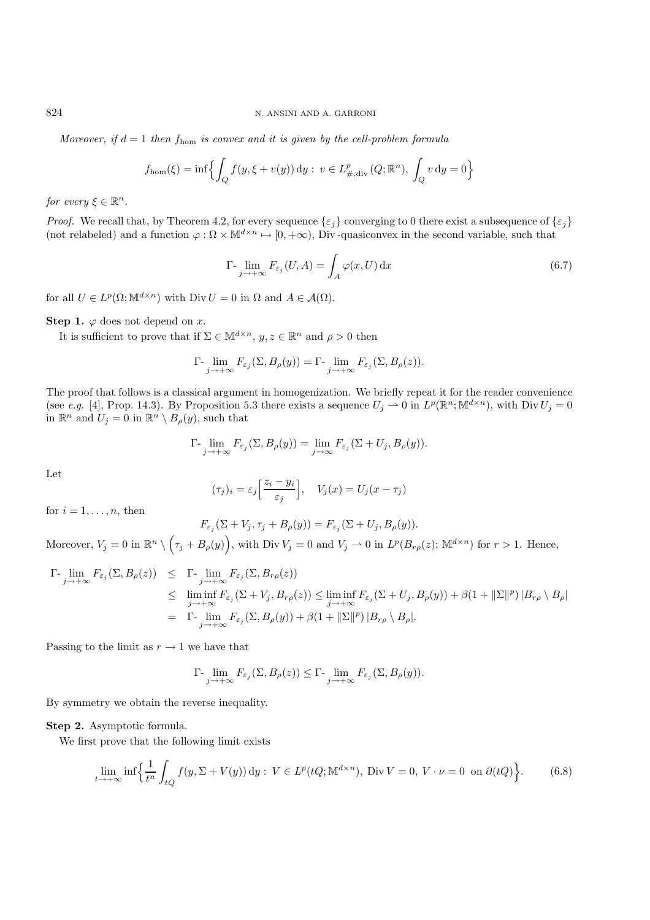*Moreover, if*  $d = 1$  *then*  $f_{\text{hom}}$  *is convex and it is given by the cell-problem formula* 

$$
f_{\text{hom}}(\xi) = \inf \Biggl\{ \int_Q f(y, \xi + v(y)) \, dy : v \in L^p_{\#, \text{div}}(Q; \mathbb{R}^n), \int_Q v \, dy = 0 \Biggr\}
$$

*for every*  $\xi \in \mathbb{R}^n$ .

*Proof.* We recall that, by Theorem 4.2, for every sequence  $\{\varepsilon_j\}$  converging to 0 there exist a subsequence of  $\{\varepsilon_j\}$ (not relabeled) and a function  $\varphi : \Omega \times \mathbb{M}^{d \times n} \mapsto [0, +\infty)$ , Div-quasiconvex in the second variable, such that

$$
\Gamma\text{-}\lim_{j \to +\infty} F_{\varepsilon_j}(U, A) = \int_A \varphi(x, U) \,\mathrm{d}x \tag{6.7}
$$

for all  $U \in L^p(\Omega; \mathbb{M}^{d \times n})$  with  $\text{Div } U = 0$  in  $\Omega$  and  $A \in \mathcal{A}(\Omega)$ .

**Step 1.**  $\varphi$  does not depend on x.

It is sufficient to prove that if  $\Sigma \in M^{d \times n}$ ,  $y, z \in \mathbb{R}^n$  and  $\rho > 0$  then

$$
\Gamma\text{-}\lim_{j\to+\infty}F_{\varepsilon_j}(\Sigma,B_\rho(y))=\Gamma\text{-}\lim_{j\to+\infty}F_{\varepsilon_j}(\Sigma,B_\rho(z)).
$$

The proof that follows is a classical argument in homogenization. We briefly repeat it for the reader convenience (see *e.g.* [4], Prop. 14.3). By Proposition 5.3 there exists a sequence  $U_j \rightharpoonup 0$  in  $L^p(\mathbb{R}^n; \mathbb{M}^{d \times n})$ , with  $\text{Div } U_j = 0$ in  $\mathbb{R}^n$  and  $U_j = 0$  in  $\mathbb{R}^n \setminus B_\rho(y)$ , such that

$$
\Gamma\text{-}\lim_{j\to+\infty} F_{\varepsilon_j}(\Sigma, B_\rho(y)) = \lim_{j\to\infty} F_{\varepsilon_j}(\Sigma + U_j, B_\rho(y)).
$$

Let

$$
(\tau_j)_i = \varepsilon_j \left[ \frac{z_i - y_i}{\varepsilon_j} \right], \quad V_j(x) = U_j(x - \tau_j)
$$

for  $i = 1, \ldots, n$ , then

$$
F_{\varepsilon_j}(\Sigma + V_j, \tau_j + B_{\rho}(y)) = F_{\varepsilon_j}(\Sigma + U_j, B_{\rho}(y)).
$$

Moreover,  $V_j = 0$  in  $\mathbb{R}^n \setminus (\tau_j + B_\rho(y))$ , with Div  $V_j = 0$  and  $V_j \rightharpoonup 0$  in  $L^p(B_{r\rho}(z))$ ;  $\mathbb{M}^{d \times n}$  for  $r > 1$ . Hence,

$$
\Gamma_{j \to +\infty} \lim_{\epsilon_j \to +\infty} F_{\epsilon_j}(\Sigma, B_{\rho}(z)) \leq \Gamma_{j \to +\infty} \lim_{\epsilon_j \to +\infty} F_{\epsilon_j}(\Sigma, B_{r\rho}(z))
$$
\n
$$
\leq \liminf_{j \to +\infty} F_{\epsilon_j}(\Sigma + V_j, B_{r\rho}(z)) \leq \liminf_{j \to +\infty} F_{\epsilon_j}(\Sigma + U_j, B_{\rho}(y)) + \beta (1 + ||\Sigma||^p) |B_{r\rho} \setminus B_{\rho}|
$$
\n
$$
= \Gamma_{j \to +\infty} \lim_{\epsilon_j \to +\infty} F_{\epsilon_j}(\Sigma, B_{\rho}(y)) + \beta (1 + ||\Sigma||^p) |B_{r\rho} \setminus B_{\rho}|.
$$

Passing to the limit as  $r \to 1$  we have that

$$
\Gamma\text{-}\lim_{j\to+\infty}F_{\varepsilon_j}(\Sigma,B_\rho(z))\leq \Gamma\text{-}\lim_{j\to+\infty}F_{\varepsilon_j}(\Sigma,B_\rho(y)).
$$

By symmetry we obtain the reverse inequality.

#### **Step 2.** Asymptotic formula.

We first prove that the following limit exists

$$
\lim_{t \to +\infty} \inf \left\{ \frac{1}{t^n} \int_{tQ} f(y, \Sigma + V(y)) \, dy : \ V \in L^p(tQ; \mathbb{M}^{d \times n}), \ \text{Div}\ V = 0, \ V \cdot \nu = 0 \text{ on } \partial(tQ) \right\}.
$$
 (6.8)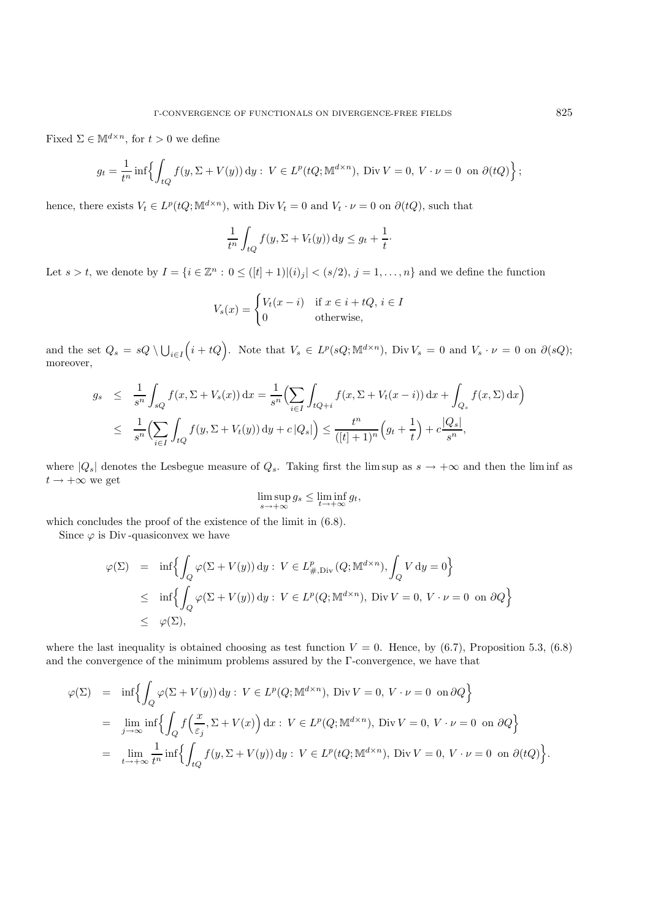Fixed  $\Sigma \in \mathbb{M}^{d \times n}$ , for  $t > 0$  we define

$$
g_t = \frac{1}{t^n} \inf \left\{ \int_{tQ} f(y, \Sigma + V(y)) \, dy : V \in L^p(tQ; \mathbb{M}^{d \times n}), \text{ Div } V = 0, V \cdot \nu = 0 \text{ on } \partial(tQ) \right\};
$$

hence, there exists  $V_t \in L^p(tQ; \mathbb{M}^{d \times n})$ , with Div  $V_t = 0$  and  $V_t \cdot \nu = 0$  on  $\partial(tQ)$ , such that

$$
\frac{1}{t^n} \int_{tQ} f(y, \Sigma + V_t(y)) dy \le g_t + \frac{1}{t}
$$

·

Let  $s > t$ , we denote by  $I = \{i \in \mathbb{Z}^n : 0 \leq ([t] + 1) | (i)_j | < (s/2), j = 1, \ldots, n\}$  and we define the function

$$
V_s(x) = \begin{cases} V_t(x-i) & \text{if } x \in i + tQ, i \in I \\ 0 & \text{otherwise,} \end{cases}
$$

and the set  $Q_s = sQ \setminus \bigcup_{i \in I}$  $(i + tQ)$ . Note that  $V_s \in L^p(sQ; \mathbb{M}^{d \times n})$ , Div  $V_s = 0$  and  $V_s \cdot \nu = 0$  on  $\partial(sQ)$ ; moreover,

$$
g_s \leq \frac{1}{s^n} \int_{sQ} f(x, \Sigma + V_s(x)) dx = \frac{1}{s^n} \left( \sum_{i \in I} \int_{tQ+i} f(x, \Sigma + V_t(x - i)) dx + \int_{Q_s} f(x, \Sigma) dx \right)
$$
  

$$
\leq \frac{1}{s^n} \left( \sum_{i \in I} \int_{tQ} f(y, \Sigma + V_t(y)) dy + c |Q_s| \right) \leq \frac{t^n}{([t] + 1)^n} \left( g_t + \frac{1}{t} \right) + c \frac{|Q_s|}{s^n},
$$

where  $|Q_s|$  denotes the Lesbegue measure of  $Q_s$ . Taking first the lim sup as  $s \to +\infty$  and then the lim inf as  $t \rightarrow +\infty$  we get

$$
\limsup_{s \to +\infty} g_s \le \liminf_{t \to +\infty} g_t,
$$

which concludes the proof of the existence of the limit in  $(6.8)$ .

Since  $\varphi$  is Div-quasiconvex we have

$$
\begin{array}{lcl} \varphi(\Sigma) & = & \inf \Bigl\{ \displaystyle\int_Q \varphi(\Sigma+V(y)) \, \mathrm{d}y: \, V \in L^p_{\#, \, \mathrm{Div}}(Q; \mathbb{M}^{d \times n}), \displaystyle\int_Q V \, \mathrm{d}y = 0 \Bigr\} \\ \\ & \leq & \inf \Bigl\{ \displaystyle\int_Q \varphi(\Sigma+V(y)) \, \mathrm{d}y: \, V \in L^p(Q; \mathbb{M}^{d \times n}), \, \, \mathrm{Div} \, V = 0, \, V \cdot \nu = 0 \, \, \text{ on } \partial Q \Bigr\} \\ \\ & \leq & \varphi(\Sigma), \end{array}
$$

where the last inequality is obtained choosing as test function  $V = 0$ . Hence, by (6.7), Proposition 5.3, (6.8) and the convergence of the minimum problems assured by the Γ-convergence, we have that

$$
\varphi(\Sigma) = \inf \Biggl\{ \int_Q \varphi(\Sigma + V(y)) \, dy : V \in L^p(Q; \mathbb{M}^{d \times n}), \text{ Div } V = 0, V \cdot \nu = 0 \text{ on } \partial Q \Biggr\}
$$
  
= 
$$
\lim_{j \to \infty} \inf \Biggl\{ \int_Q f\Bigl(\frac{x}{\varepsilon_j}, \Sigma + V(x)\Bigr) \, dx : V \in L^p(Q; \mathbb{M}^{d \times n}), \text{ Div } V = 0, V \cdot \nu = 0 \text{ on } \partial Q \Biggr\}
$$
  
= 
$$
\lim_{t \to +\infty} \frac{1}{t^n} \inf \Biggl\{ \int_{tQ} f(y, \Sigma + V(y)) \, dy : V \in L^p(tQ; \mathbb{M}^{d \times n}), \text{ Div } V = 0, V \cdot \nu = 0 \text{ on } \partial(tQ) \Biggr\}.
$$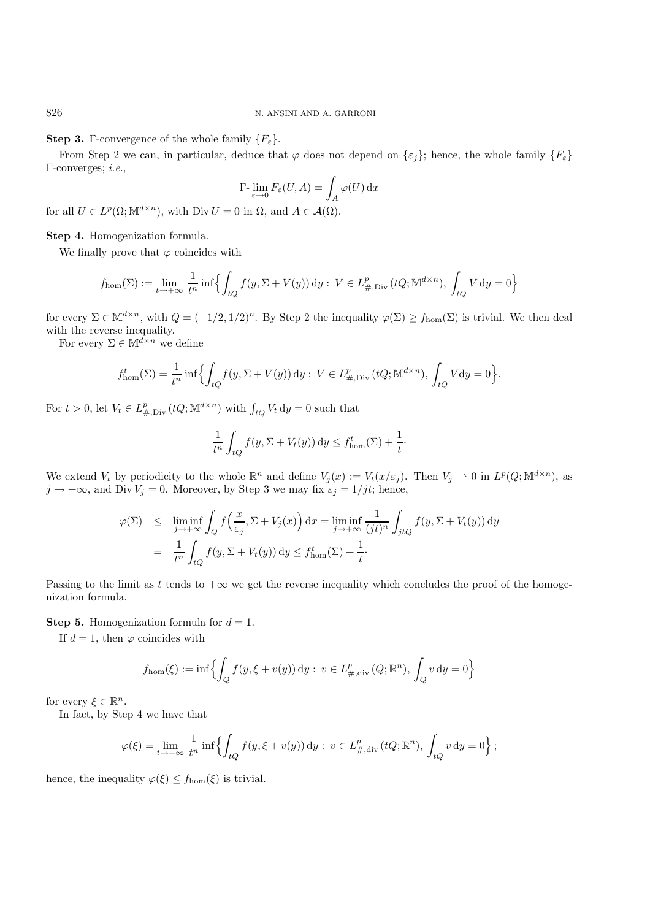### **Step 3.** Γ-convergence of the whole family  $\{F_{\varepsilon}\}\$ .

From Step 2 we can, in particular, deduce that  $\varphi$  does not depend on  $\{\varepsilon_j\}$ ; hence, the whole family  $\{F_{\varepsilon}\}\$ Γ-converges; *i.e.*,

$$
\Gamma\text{-}\lim_{\varepsilon \to 0} F_{\varepsilon}(U, A) = \int_{A} \varphi(U) \, \mathrm{d}x
$$

for all  $U \in L^p(\Omega; \mathbb{M}^{d \times n})$ , with Div  $U = 0$  in  $\Omega$ , and  $A \in \mathcal{A}(\Omega)$ .

### **Step 4.** Homogenization formula.

We finally prove that  $\varphi$  coincides with

$$
f_{\text{hom}}(\Sigma) := \lim_{t \to +\infty} \frac{1}{t^n} \inf \left\{ \int_{tQ} f(y, \Sigma + V(y)) \, dy : \ V \in L^p_{\#, \text{Div}}(tQ; \mathbb{M}^{d \times n}), \int_{tQ} V \, dy = 0 \right\}
$$

for every  $\Sigma \in M^{d \times n}$ , with  $Q = (-1/2, 1/2)^n$ . By Step 2 the inequality  $\varphi(\Sigma) \ge f_{\text{hom}}(\Sigma)$  is trivial. We then deal with the reverse inequality.

For every  $\Sigma \in \mathbb{M}^{d \times n}$  we define

$$
f_{\text{hom}}^t(\Sigma) = \frac{1}{t^n} \inf \Biggl\{ \int_{tQ} f(y, \Sigma + V(y)) \, dy : \ V \in L^p_{\#, \text{Div}}(tQ; \mathbb{M}^{d \times n}), \int_{tQ} V dy = 0 \Biggr\}.
$$

For  $t > 0$ , let  $V_t \in L^p_{\#, \text{Div}}(tQ; \mathbb{M}^{d \times n})$  with  $\int_{tQ} V_t dy = 0$  such that

$$
\frac{1}{t^n} \int_{tQ} f(y, \Sigma + V_t(y)) dy \le f_{\text{hom}}^t(\Sigma) + \frac{1}{t}.
$$

We extend  $V_t$  by periodicity to the whole  $\mathbb{R}^n$  and define  $V_j(x) := V_t(x/\varepsilon_j)$ . Then  $V_j \to 0$  in  $L^p(Q; \mathbb{M}^{d \times n})$ , as  $j \to +\infty$ , and Div  $V_j = 0$ . Moreover, by Step 3 we may fix  $\varepsilon_j = 1/jt$ ; hence,

$$
\varphi(\Sigma) \leq \liminf_{j \to +\infty} \int_{Q} f\left(\frac{x}{\varepsilon_{j}}, \Sigma + V_{j}(x)\right) dx = \liminf_{j \to +\infty} \frac{1}{(jt)^{n}} \int_{jtQ} f(y, \Sigma + V_{t}(y)) dy
$$

$$
= \frac{1}{t^{n}} \int_{tQ} f(y, \Sigma + V_{t}(y)) dy \leq f_{\text{hom}}^{t}(\Sigma) + \frac{1}{t}.
$$

Passing to the limit as t tends to  $+\infty$  we get the reverse inequality which concludes the proof of the homogenization formula.

## **Step 5.** Homogenization formula for  $d = 1$ .

If  $d = 1$ , then  $\varphi$  coincides with

$$
f_{\text{hom}}(\xi) := \inf \Biggl\{ \int_Q f(y, \xi + v(y)) \, dy : \ v \in L^p_{\#, \text{div}}(Q; \mathbb{R}^n), \int_Q v \, dy = 0 \Biggr\}
$$

for every  $\xi \in \mathbb{R}^n$ .

In fact, by Step 4 we have that

$$
\varphi(\xi) = \lim_{t \to +\infty} \frac{1}{t^n} \inf \left\{ \int_{tQ} f(y, \xi + v(y)) \, dy : \, v \in L^p_{\#, \text{div}}(tQ; \mathbb{R}^n), \, \int_{tQ} v \, dy = 0 \right\};
$$

hence, the inequality  $\varphi(\xi) \leq f_{\text{hom}}(\xi)$  is trivial.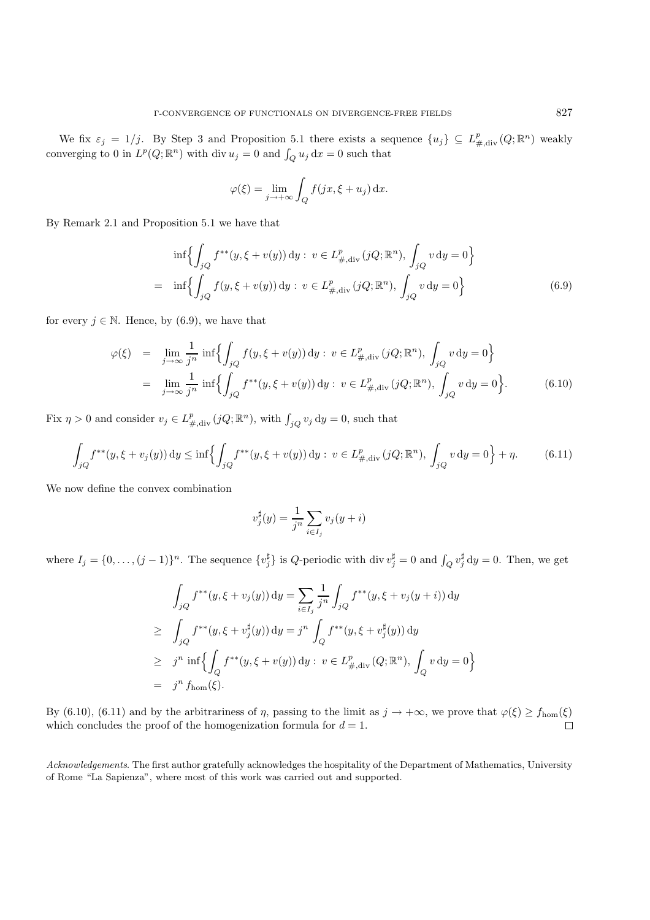We fix  $\varepsilon_j = 1/j$ . By Step 3 and Proposition 5.1 there exists a sequence  $\{u_j\} \subseteq L^p_{\#, \text{div}}(Q; \mathbb{R}^n)$  weakly converging to 0 in  $L^p(Q; \mathbb{R}^n)$  with div  $u_j = 0$  and  $\int_Q u_j dx = 0$  such that

$$
\varphi(\xi) = \lim_{j \to +\infty} \int_Q f(jx, \xi + u_j) \, dx.
$$

By Remark 2.1 and Proposition 5.1 we have that

$$
\inf \Biggl\{ \int_{jQ} f^{**}(y,\xi + v(y)) \, dy : \ v \in L^p_{\#, \text{div}}(jQ; \mathbb{R}^n), \int_{jQ} v \, dy = 0 \Biggr\}
$$
\n
$$
= \inf \Biggl\{ \int_{jQ} f(y,\xi + v(y)) \, dy : \ v \in L^p_{\#, \text{div}}(jQ; \mathbb{R}^n), \int_{jQ} v \, dy = 0 \Biggr\}
$$
\n(6.9)

for every  $j \in \mathbb{N}$ . Hence, by (6.9), we have that

$$
\varphi(\xi) = \lim_{j \to \infty} \frac{1}{j^n} \inf \Biggl\{ \int_{jQ} f(y, \xi + v(y)) \, dy : v \in L^p_{\#, \text{div}}(jQ; \mathbb{R}^n), \int_{jQ} v \, dy = 0 \Biggr\}
$$
  
= 
$$
\lim_{j \to \infty} \frac{1}{j^n} \inf \Biggl\{ \int_{jQ} f^{**}(y, \xi + v(y)) \, dy : v \in L^p_{\#, \text{div}}(jQ; \mathbb{R}^n), \int_{jQ} v \, dy = 0 \Biggr\}.
$$
 (6.10)

Fix  $\eta > 0$  and consider  $v_j \in L^p_{\#, \text{div}}(jQ; \mathbb{R}^n)$ , with  $\int_{jQ} v_j \, dy = 0$ , such that

$$
\int_{jQ} f^{**}(y,\xi + v_j(y)) dy \le \inf \left\{ \int_{jQ} f^{**}(y,\xi + v(y)) dy : v \in L^p_{\#, \text{div}}(jQ; \mathbb{R}^n), \int_{jQ} v dy = 0 \right\} + \eta. \tag{6.11}
$$

We now define the convex combination

$$
v_j^{\sharp}(y) = \frac{1}{j^n} \sum_{i \in I_j} v_j(y+i)
$$

where  $I_j = \{0, \ldots, (j-1)\}^n$ . The sequence  $\{v_j^{\sharp}\}\$ is Q-periodic with div  $v_j^{\sharp} = 0$  and  $\int_Q v_j^{\sharp} dy = 0$ . Then, we get

$$
\int_{jQ} f^{**}(y,\xi + v_j(y)) \, dy = \sum_{i \in I_j} \frac{1}{j^n} \int_{jQ} f^{**}(y,\xi + v_j(y + i)) \, dy
$$
  
\n
$$
\geq \int_{jQ} f^{**}(y,\xi + v_j^{\sharp}(y)) \, dy = j^n \int_Q f^{**}(y,\xi + v_j^{\sharp}(y)) \, dy
$$
  
\n
$$
\geq j^n \inf \left\{ \int_Q f^{**}(y,\xi + v(y)) \, dy : v \in L^p_{\#,\text{div}}(Q; \mathbb{R}^n), \int_Q v \, dy = 0 \right\}
$$
  
\n
$$
= j^n f_{\text{hom}}(\xi).
$$

By (6.10), (6.11) and by the arbitrariness of  $\eta$ , passing to the limit as  $j \to +\infty$ , we prove that  $\varphi(\xi) \ge f_{\text{hom}}(\xi)$ which concludes the proof of the homogenization formula for  $d = 1$ .  $\Box$ 

*Acknowledgements*. The first author gratefully acknowledges the hospitality of the Department of Mathematics, University of Rome "La Sapienza", where most of this work was carried out and supported.